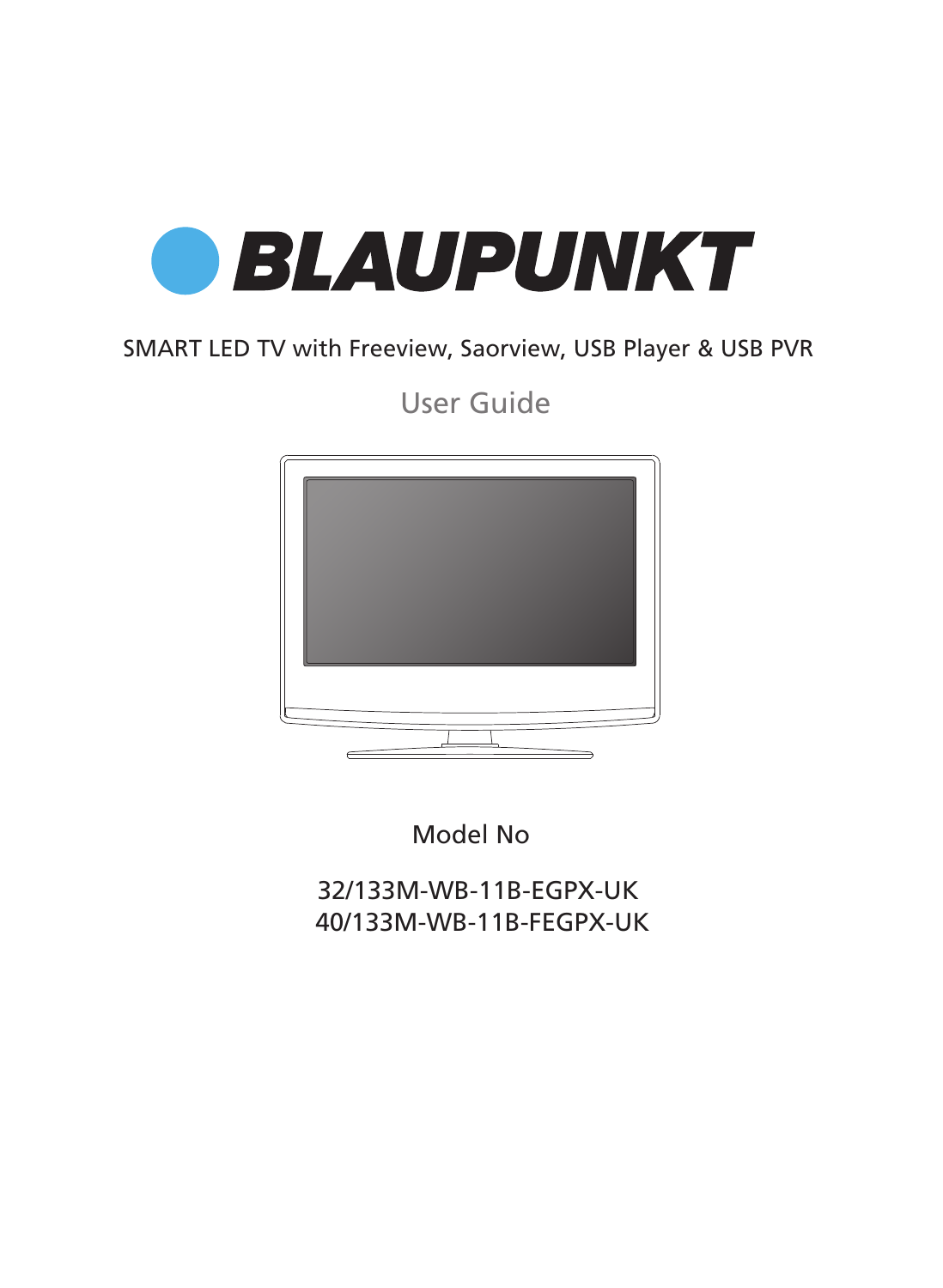

## SMART LED TV with Freeview, Saorview, USB Player & USB PVR

User Guide



Model No

32/133M-WB-11B-EGPX-UK 40/133M-WB-11B-FEGPX-UK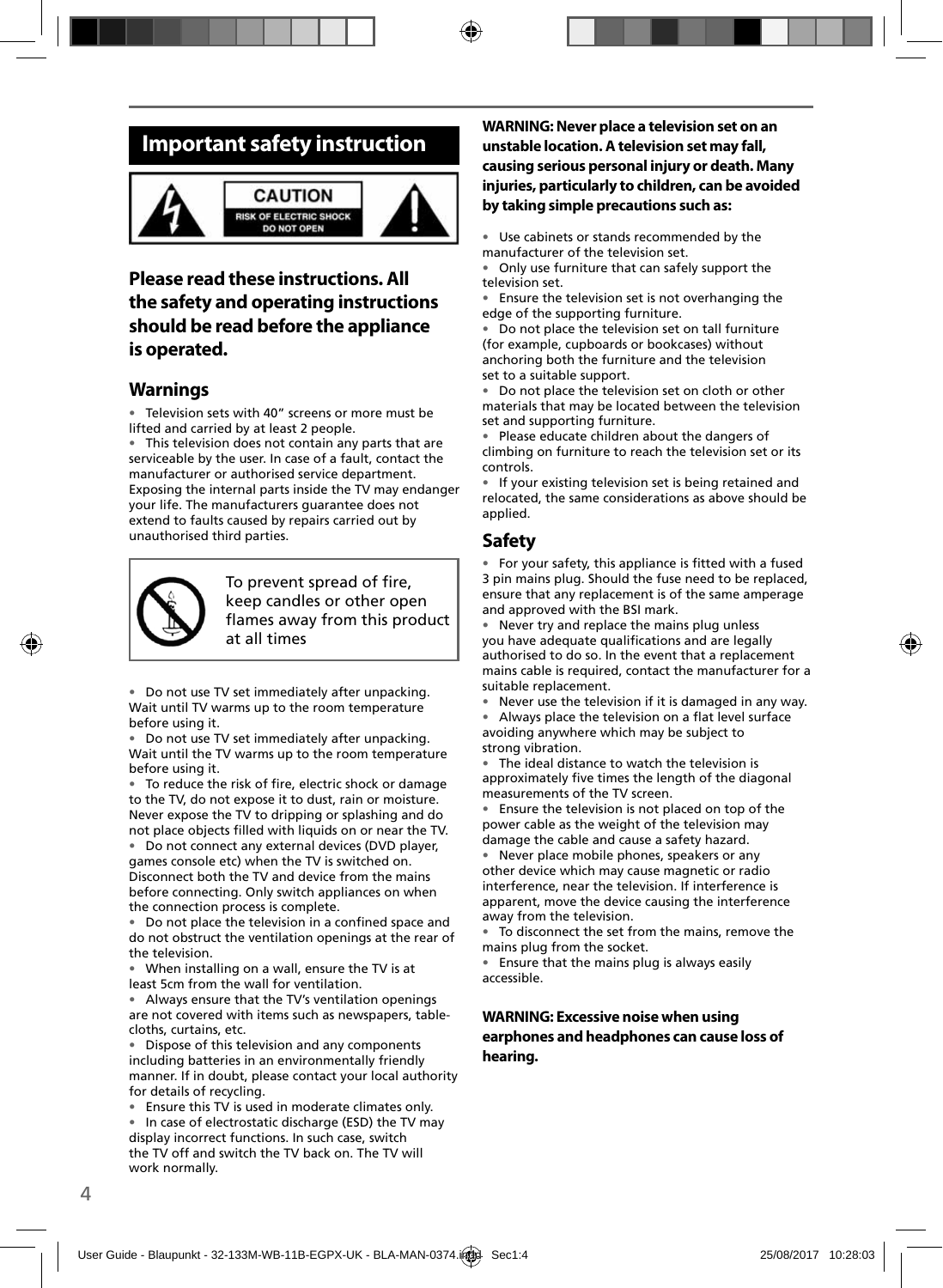## **Important safety instruction**



#### **CAUTION ISK OF ELECTRIC SHOCK DO NOT OPEN**



### **Please read these instructions. All the safety and operating instructions should be read before the appliance is operated.**

### **Warnings**

• Television sets with 40" screens or more must be lifted and carried by at least 2 people.

• This television does not contain any parts that are serviceable by the user. In case of a fault, contact the manufacturer or authorised service department. Exposing the internal parts inside the TV may endanger your life. The manufacturers guarantee does not extend to faults caused by repairs carried out by unauthorised third parties.



To prevent spread of fire. keep candles or other open flames away from this product at all times

• Do not use TV set immediately after unpacking. Wait until TV warms up to the room temperature before using it.

• Do not use TV set immediately after unpacking. Wait until the TV warms up to the room temperature before using it.

To reduce the risk of fire, electric shock or damage to the TV, do not expose it to dust, rain or moisture. Never expose the TV to dripping or splashing and do not place objects filled with liquids on or near the TV.

• Do not connect any external devices (DVD player, games console etc) when the TV is switched on. Disconnect both the TV and device from the mains before connecting. Only switch appliances on when the connection process is complete.

• Do not place the television in a confined space and do not obstruct the ventilation openings at the rear of the television.

• When installing on a wall, ensure the TV is at least 5cm from the wall for ventilation.

• Always ensure that the TV's ventilation openings are not covered with items such as newspapers, tablecloths, curtains, etc.

• Dispose of this television and any components including batteries in an environmentally friendly manner. If in doubt, please contact your local authority for details of recycling.

• Ensure this TV is used in moderate climates only.

• In case of electrostatic discharge (ESD) the TV may display incorrect functions. In such case, switch the TV off and switch the TV back on. The TV will work normally.

### **WARNING: Never place a television set on an unstable location. A television set may fall, causing serious personal injury or death. Many injuries, particularly to children, can be avoided by taking simple precautions such as:**

Use cabinets or stands recommended by the manufacturer of the television set.

• Only use furniture that can safely support the television set.

• Ensure the television set is not overhanging the edge of the supporting furniture.

• Do not place the television set on tall furniture (for example, cupboards or bookcases) without anchoring both the furniture and the television set to a suitable support.

• Do not place the television set on cloth or other materials that may be located between the television set and supporting furniture.

• Please educate children about the dangers of climbing on furniture to reach the television set or its controls.

• If your existing television set is being retained and relocated, the same considerations as above should be applied.

### **Safety**

• For your safety, this appliance is fitted with a fused 3 pin mains plug. Should the fuse need to be replaced, ensure that any replacement is of the same amperage and approved with the BSI mark.

Never try and replace the mains plug unless you have adequate qualifications and are legally authorised to do so. In the event that a replacement mains cable is required, contact the manufacturer for a suitable replacement.

Never use the television if it is damaged in any way.

Always place the television on a flat level surface avoiding anywhere which may be subject to strong vibration.

• The ideal distance to watch the television is approximately five times the length of the diagonal measurements of the TV screen.

• Ensure the television is not placed on top of the power cable as the weight of the television may damage the cable and cause a safety hazard.

Never place mobile phones, speakers or any other device which may cause magnetic or radio interference, near the television. If interference is apparent, move the device causing the interference away from the television.

To disconnect the set from the mains, remove the mains plug from the socket.

• Ensure that the mains plug is always easily accessible.

### **WARNING: Excessive noise when using earphones and headphones can cause loss of hearing.**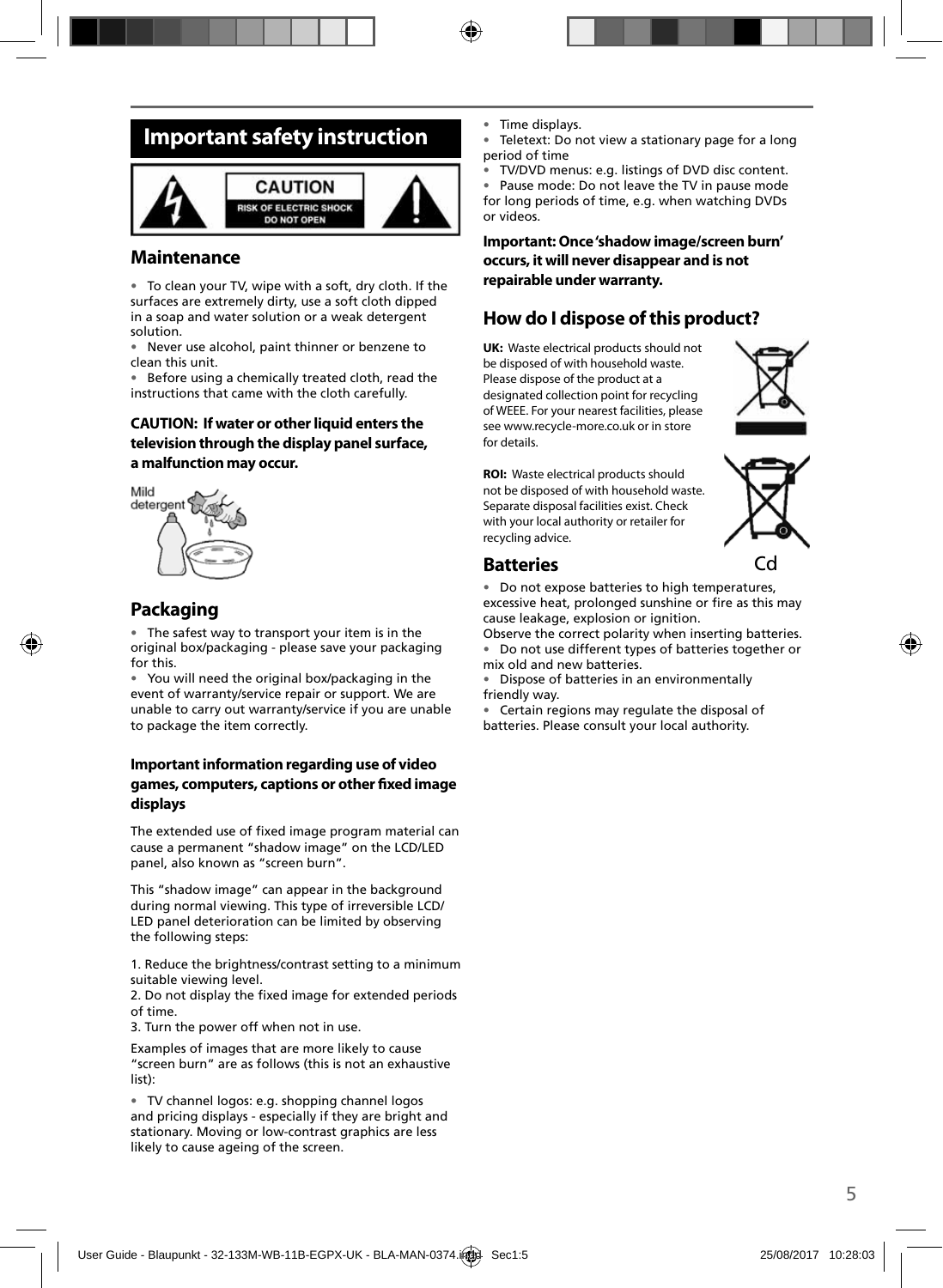## **Important safety instruction**



### **Maintenance**

• To clean your TV, wipe with a soft, dry cloth. If the surfaces are extremely dirty, use a soft cloth dipped in a soap and water solution or a weak detergent solution.

Never use alcohol, paint thinner or benzene to clean this unit.

• Before using a chemically treated cloth, read the instructions that came with the cloth carefully.

### **CAUTION: If water or other liquid enters the television through the display panel surface, a malfunction may occur.**



### **Packaging**

The safest way to transport your item is in the original box/packaging - please save your packaging for this.

• You will need the original box/packaging in the event of warranty/service repair or support. We are unable to carry out warranty/service if you are unable to package the item correctly.

### **Important information regarding use of video games, computers, captions or other fi xed image displays**

The extended use of fixed image program material can cause a permanent "shadow image" on the LCD/LED panel, also known as "screen burn".

This "shadow image" can appear in the background during normal viewing. This type of irreversible LCD/ LED panel deterioration can be limited by observing the following steps:

1. Reduce the brightness/contrast setting to a minimum suitable viewing level.

2. Do not display the fixed image for extended periods of time.

3. Turn the power off when not in use.

Examples of images that are more likely to cause "screen burn" are as follows (this is not an exhaustive list):

• TV channel logos: e.g. shopping channel logos and pricing displays - especially if they are bright and stationary. Moving or low-contrast graphics are less likely to cause ageing of the screen.

Time displays.

Teletext: Do not view a stationary page for a long period of time

• TV/DVD menus: e.g. listings of DVD disc content.

• Pause mode: Do not leave the TV in pause mode for long periods of time, e.g. when watching DVDs or videos.

**Important: Once 'shadow image/screen burn' occurs, it will never disappear and is not repairable under warranty.**

### **How do I dispose of this product?**

**UK:** Waste electrical products should not be disposed of with household waste. Please dispose of the product at a designated collection point for recycling of WEEE. For your nearest facilities, please see www.recycle-more.co.uk or in store for details.



**ROI:** Waste electrical products should not be disposed of with household waste. Separate disposal facilities exist. Check with your local authority or retailer for recycling advice.



### **Batteries**

• Do not expose batteries to high temperatures, excessive heat, prolonged sunshine or fire as this may cause leakage, explosion or ignition.

Observe the correct polarity when inserting batteries. • Do not use different types of batteries together or mix old and new batteries.

• Dispose of batteries in an environmentally friendly way.

• Certain regions may regulate the disposal of batteries. Please consult your local authority.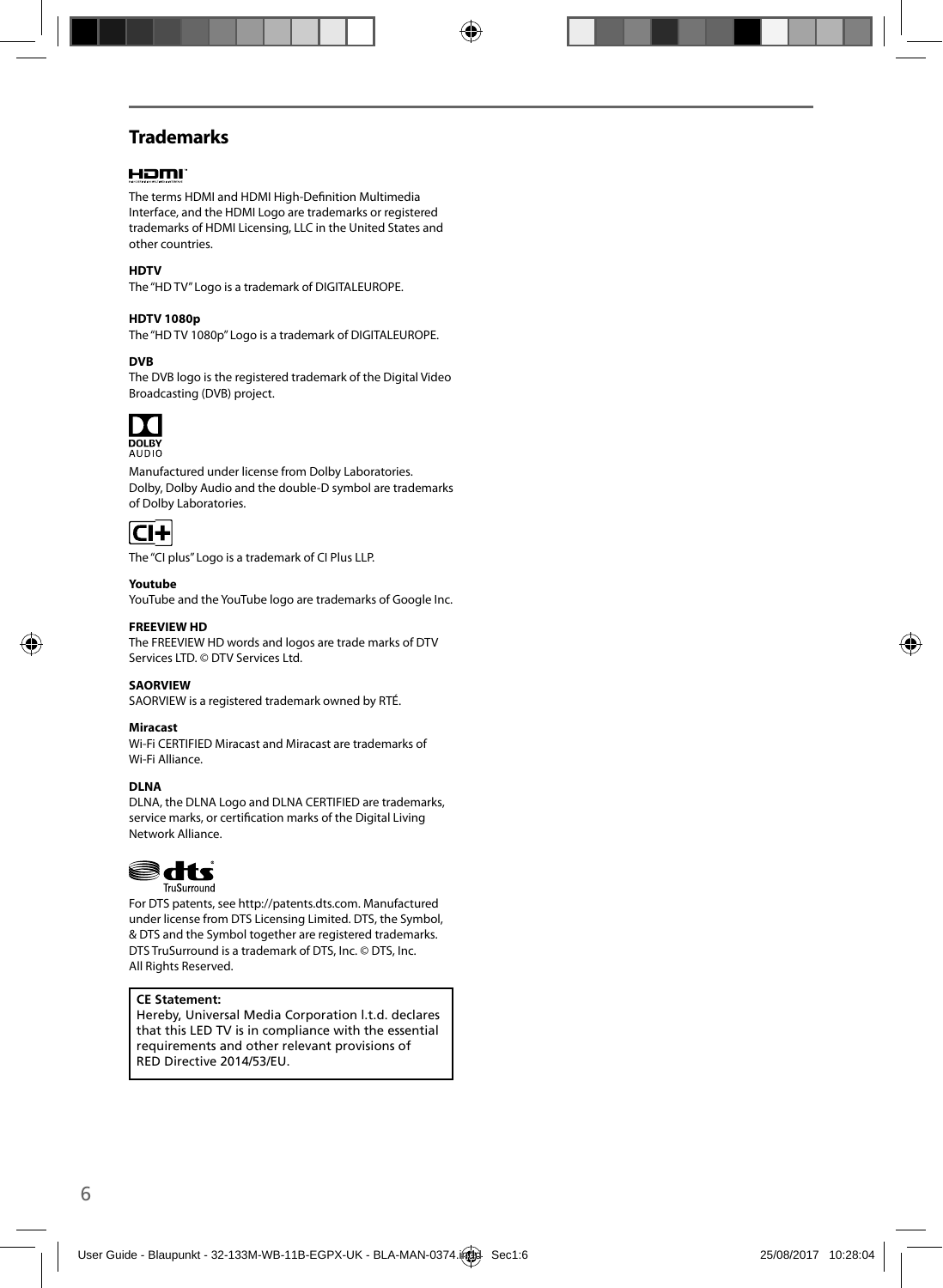### **Trademarks**

### HOMI

The terms HDMI and HDMI High-Definition Multimedia Interface, and the HDMI Logo are trademarks or registered trademarks of HDMI Licensing, LLC in the United States and other countries.

#### **HDTV**

The "HD TV" Logo is a trademark of DIGITALEUROPE.

#### **HDTV 1080p**

The "HD TV 1080p" Logo is a trademark of DIGITALEUROPE.

#### **DVB**

The DVB logo is the registered trademark of the Digital Video Broadcasting (DVB) project.



**DOLBY**<br>AUDIO

Manufactured under license from Dolby Laboratories. Dolby, Dolby Audio and the double-D symbol are trademarks of Dolby Laboratories.



The "CI plus" Logo is a trademark of CI Plus LLP.

#### **Youtube**

YouTube and the YouTube logo are trademarks of Google Inc.

#### **FREEVIEW HD**

The FREEVIEW HD words and logos are trade marks of DTV Services LTD. © DTV Services Ltd.

#### **SAORVIEW**

SAORVIEW is a registered trademark owned by RTÉ.

#### **Miracast**

Wi-Fi CERTIFIED Miracast and Miracast are trademarks of Wi-Fi Alliance.

#### **DLNA**

DLNA, the DLNA Logo and DLNA CERTIFIED are trademarks, service marks, or certification marks of the Digital Living Network Alliance.



For DTS patents, see http://patents.dts.com. Manufactured under license from DTS Licensing Limited. DTS, the Symbol, & DTS and the Symbol together are registered trademarks. DTS TruSurround is a trademark of DTS, Inc. © DTS, Inc. All Rights Reserved.

#### **CE Statement:**

Hereby, Universal Media Corporation l.t.d. declares that this LED TV is in compliance with the essential requirements and other relevant provisions of RED Directive 2014/53/EU.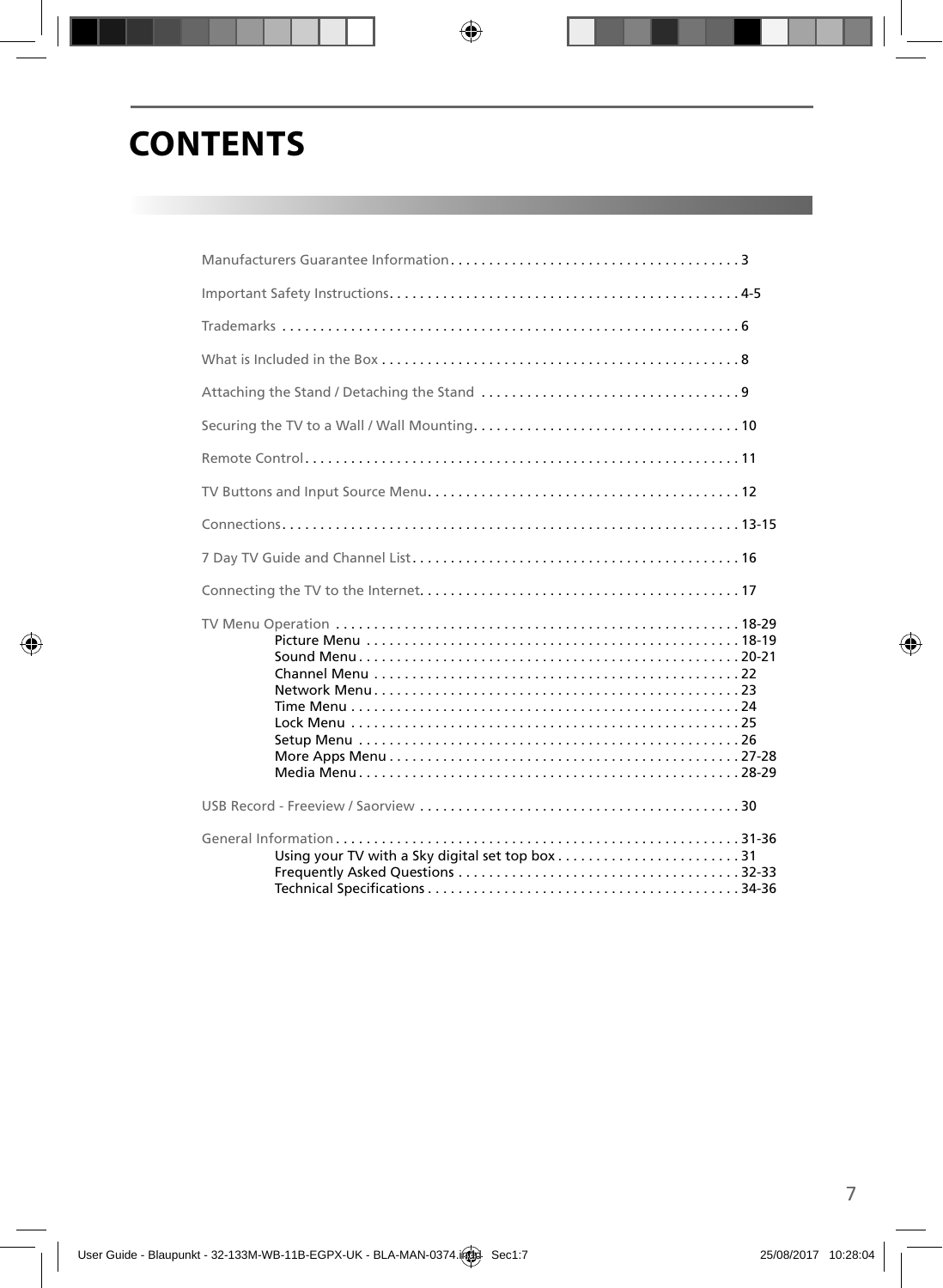# **CONTENTS**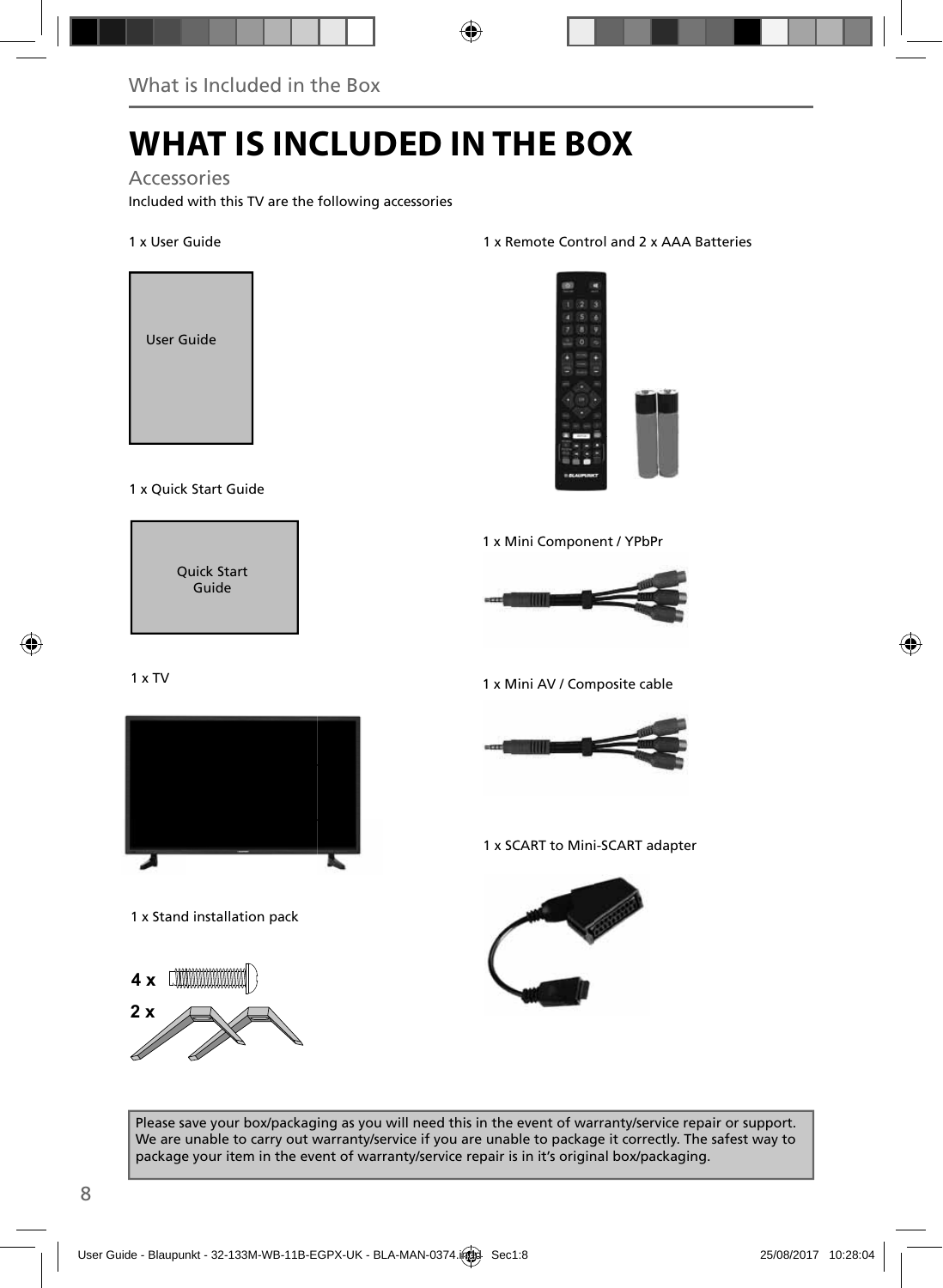# **WHAT IS INCLUDED IN THE BOX**

### Accessories

Included with this TV are the following accessories

### 1 x User Guide



#### 1 x Quick Start Guide



### 1 x TV



1 x Stand installation pack

**4 x**



#### 1 x Remote Control and 2 x AAA Batteries



1 x Mini Component / YPbPr



1 x Mini AV / Composite cable



1 x SCART to Mini-SCART adapter



Please save your box/packaging as you will need this in the event of warranty/service repair or support. We are unable to carry out warranty/service if you are unable to package it correctly. The safest way to package your item in the event of warranty/service repair is in it's original box/packaging.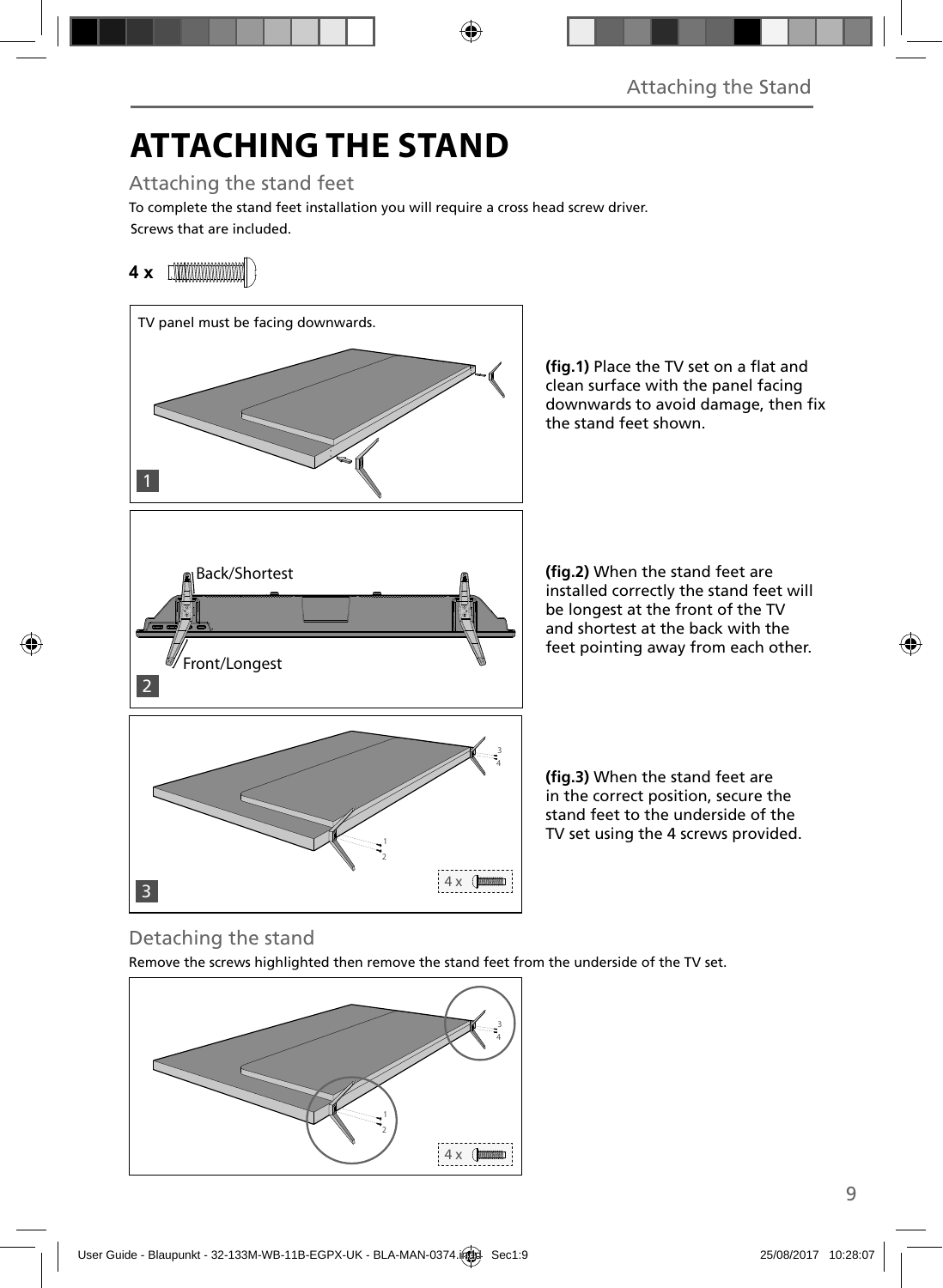# **ATTACHING THE STAND**

Attaching the stand feet

Screws that are included. To complete the stand feet installation you will require a cross head screw driver.

## **4 x**



(fig.1) Place the TV set on a flat and clean surface with the panel facing downwards to avoid damage, then fix the stand feet shown.

**(fig.2)** When the stand feet are installed correctly the stand feet will be longest at the front of the TV and shortest at the back with the feet pointing away from each other.

**(fig.3)** When the stand feet are in the correct position, secure the stand feet to the underside of the TV set using the 4 screws provided.

## Detaching the stand

Remove the screws highlighted then remove the stand feet from the underside of the TV set.

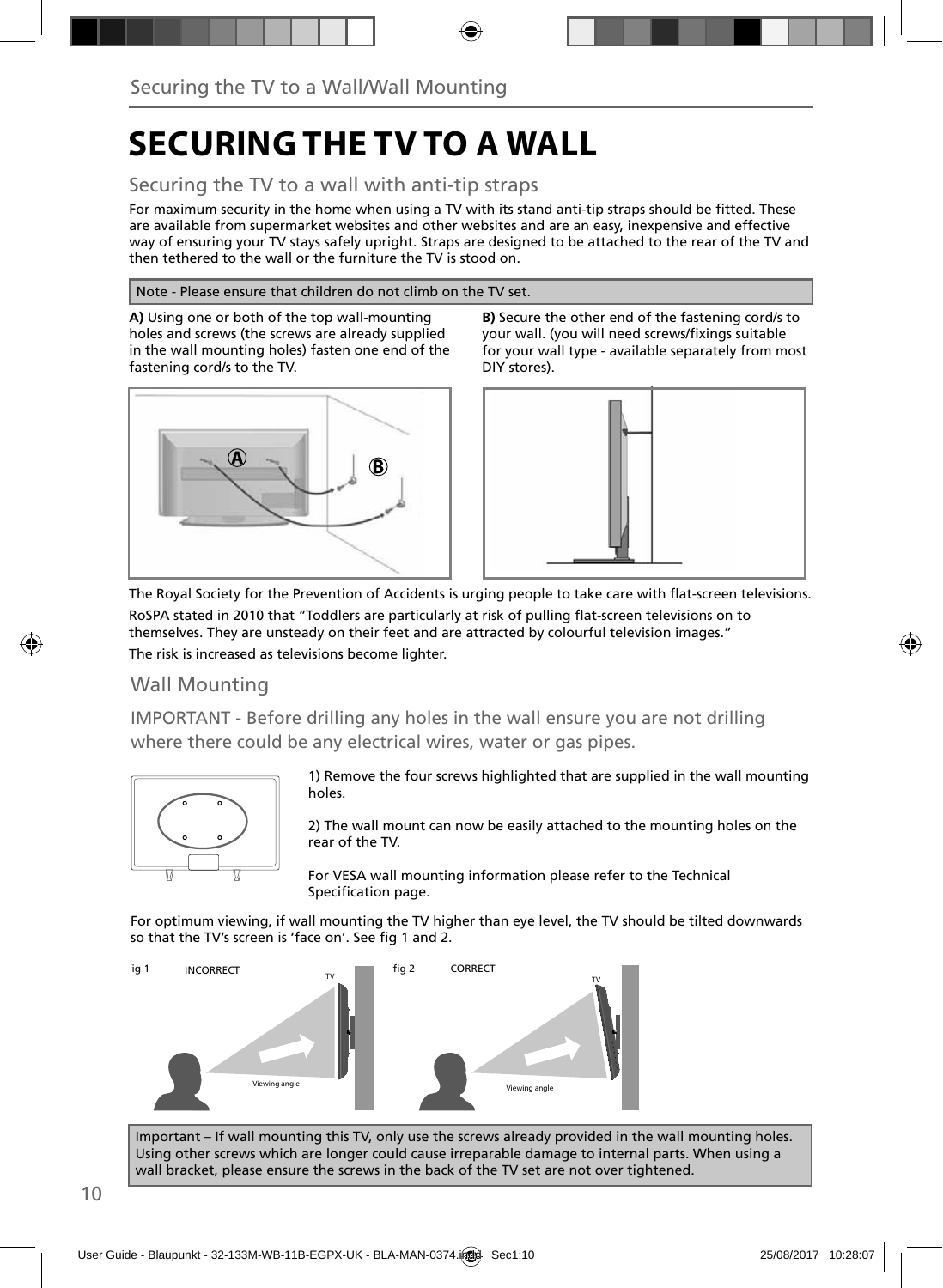# **SECURING THE TV TO A WALL**

### Securing the TV to a wall with anti-tip straps

For maximum security in the home when using a TV with its stand anti-tip straps should be fitted. These are available from supermarket websites and other websites and are an easy, inexpensive and effective way of ensuring your TV stays safely upright. Straps are designed to be attached to the rear of the TV and then tethered to the wall or the furniture the TV is stood on.

#### Note - Please ensure that children do not climb on the TV set.

**A)** Using one or both of the top wall-mounting holes and screws (the screws are already supplied in the wall mounting holes) fasten one end of the fastening cord/s to the TV.



**B)** Secure the other end of the fastening cord/s to your wall. (you will need screws/fixings suitable for your wall type - available separately from most DIY stores).



The Royal Society for the Prevention of Accidents is urging people to take care with flat-screen televisions. RoSPA stated in 2010 that "Toddlers are particularly at risk of pulling flat-screen televisions on to themselves. They are unsteady on their feet and are attracted by colourful television images."

The risk is increased as televisions become lighter.

### Wall Mounting

IMPORTANT - Before drilling any holes in the wall ensure you are not drilling where there could be any electrical wires, water or gas pipes.



1) Remove the four screws highlighted that are supplied in the wall mounting holes.

2) The wall mount can now be easily attached to the mounting holes on the rear of the TV.

For VESA wall mounting information please refer to the Technical Specification page.

For optimum viewing, if wall mounting the TV higher than eye level, the TV should be tilted downwards so that the TV's screen is 'face on'. See fig 1 and 2.



Important – If wall mounting this TV, only use the screws already provided in the wall mounting holes. Using other screws which are longer could cause irreparable damage to internal parts. When using a wall bracket, please ensure the screws in the back of the TV set are not over tightened.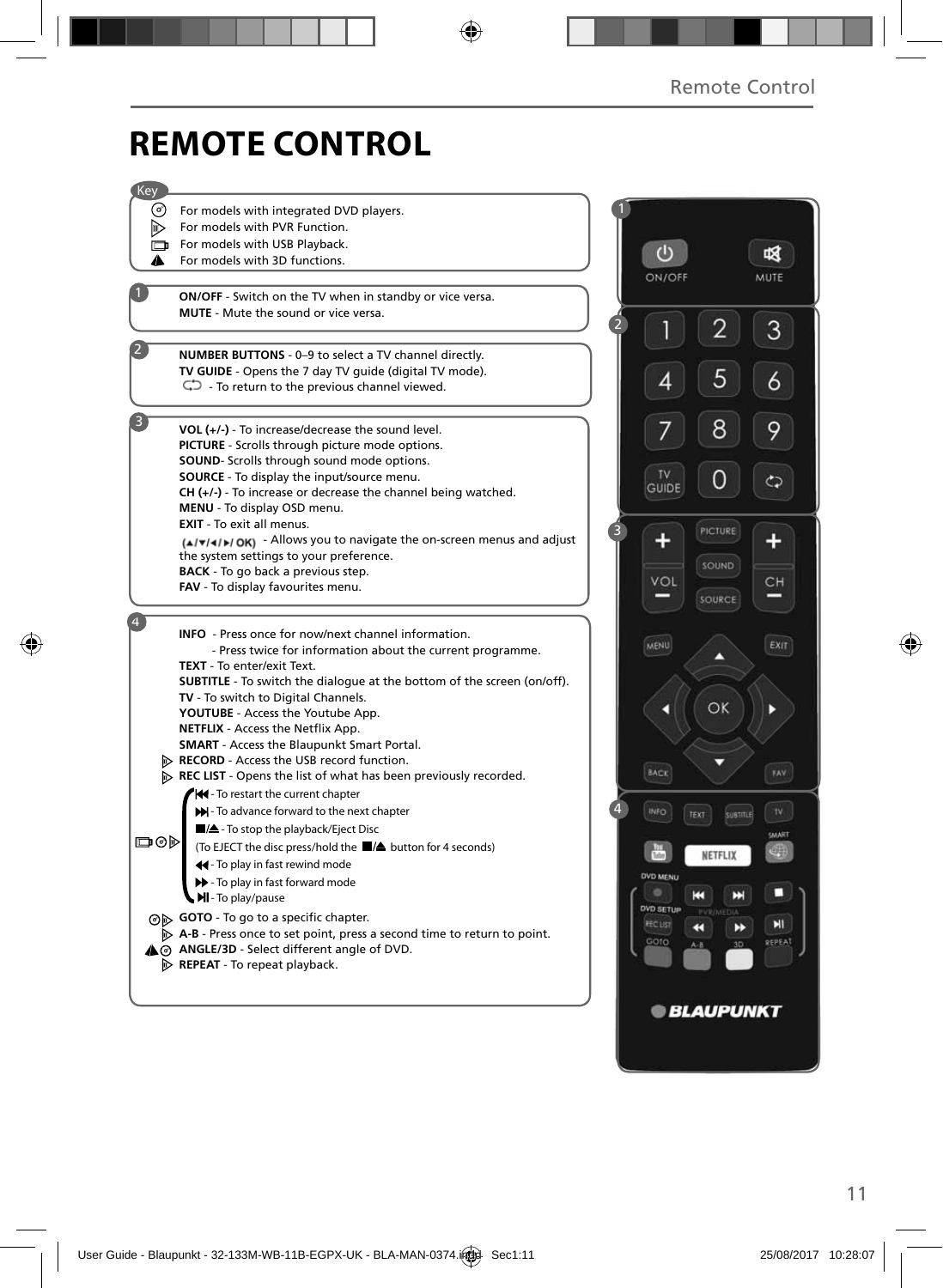# **REMOTE CONTROL**

| Key |                                                                                                               |                      |                         |              |
|-----|---------------------------------------------------------------------------------------------------------------|----------------------|-------------------------|--------------|
| (∂) | For models with integrated DVD players.                                                                       |                      |                         |              |
| D.  | For models with PVR Function.                                                                                 |                      |                         |              |
| o   | For models with USB Playback.                                                                                 |                      |                         |              |
| A   | For models with 3D functions.                                                                                 |                      | $\bigcirc$              | 咽            |
|     |                                                                                                               |                      | ON/OFF                  | MUTE         |
|     | <b>ON/OFF</b> - Switch on the TV when in standby or vice versa.                                               |                      |                         |              |
|     | <b>MUTE</b> - Mute the sound or vice versa.                                                                   | $\overline{2}$       |                         |              |
|     |                                                                                                               |                      | 2                       | 3            |
|     | NUMBER BUTTONS - 0-9 to select a TV channel directly.                                                         |                      |                         |              |
|     | TV GUIDE - Opens the 7 day TV guide (digital TV mode).                                                        |                      | 5<br>4                  | 6            |
|     | $\mathbb{C}$ - To return to the previous channel viewed.                                                      |                      |                         |              |
| 3   |                                                                                                               |                      |                         |              |
|     | VOL (+/-) - To increase/decrease the sound level.                                                             |                      | 8                       | 9            |
|     | PICTURE - Scrolls through picture mode options.                                                               |                      |                         |              |
|     | SOUND- Scrolls through sound mode options.                                                                    |                      | <b>TV</b>               |              |
|     | SOURCE - To display the input/source menu.<br>$CH (+/-)$ - To increase or decrease the channel being watched. |                      | GUIDE                   | چ            |
|     | MENU - To display OSD menu.                                                                                   |                      |                         |              |
|     | <b>EXIT</b> - To exit all menus.                                                                              |                      |                         |              |
|     | $(A \mathbf{v} A )$ OK) - Allows you to navigate the on-screen menus and adjust                               | 3                    | PICTURE                 |              |
|     | the system settings to your preference.                                                                       |                      |                         |              |
|     | <b>BACK</b> - To go back a previous step.                                                                     |                      | SOUND                   |              |
|     | FAV - To display favourites menu.                                                                             |                      | VOL                     | CH           |
|     |                                                                                                               |                      | SOURCE                  |              |
| 4   | <b>INFO</b> - Press once for now/next channel information.                                                    |                      |                         |              |
|     | - Press twice for information about the current programme.                                                    | MENU                 | ⌒                       | EXIT         |
|     | TEXT - To enter/exit Text.                                                                                    |                      |                         |              |
|     | <b>SUBTITLE</b> - To switch the dialogue at the bottom of the screen (on/off).                                |                      |                         |              |
|     | TV - To switch to Digital Channels.                                                                           |                      | OK                      |              |
|     | YOUTUBE - Access the Youtube App.                                                                             |                      |                         |              |
|     | NETFLIX - Access the Netflix App.                                                                             |                      |                         |              |
|     | <b>SMART</b> - Access the Blaupunkt Smart Portal.<br>RECORD - Access the USB record function.                 |                      |                         |              |
|     | REC LIST - Opens the list of what has been previously recorded.                                               |                      | <b>BACK</b>             | FAV          |
|     | Hel-To restart the current chapter                                                                            |                      |                         |              |
|     | >> - To advance forward to the next chapter                                                                   | $\mathbf{A}$<br>INFO | TEXT<br><b>SUBTITLE</b> | $\mathbb{N}$ |
|     | A - To stop the playback/Eject Disc                                                                           |                      |                         |              |
| య⊚⊡ | (To EJECT the disc press/hold the ■/▲ button for 4 seconds)                                                   |                      |                         | CMART        |
|     | 44 - To play in fast rewind mode                                                                              |                      | NETFLIX                 |              |
|     | >> - To play in fast forward mode                                                                             |                      | <b>OVD MENU</b>         |              |
|     | MI-To play/pause                                                                                              |                      | K<br>Е                  |              |
|     | ⊙ GOTO - To go to a specific chapter.                                                                         |                      | <b>DVD SETUP</b>        |              |
|     | A-B - Press once to set point, press a second time to return to point.                                        | <b>RECUST</b>        | K<br>œ                  | Ы            |
|     | A @ ANGLE/3D - Select different angle of DVD.                                                                 |                      | GOTO<br>3D<br>A-B       | REPEAT       |
|     | $\triangleright$ REPEAT - To repeat playback.                                                                 |                      |                         |              |
|     |                                                                                                               |                      |                         |              |
|     |                                                                                                               |                      | <b>BLAUPUNKT</b>        |              |
|     |                                                                                                               |                      |                         |              |
|     |                                                                                                               |                      |                         |              |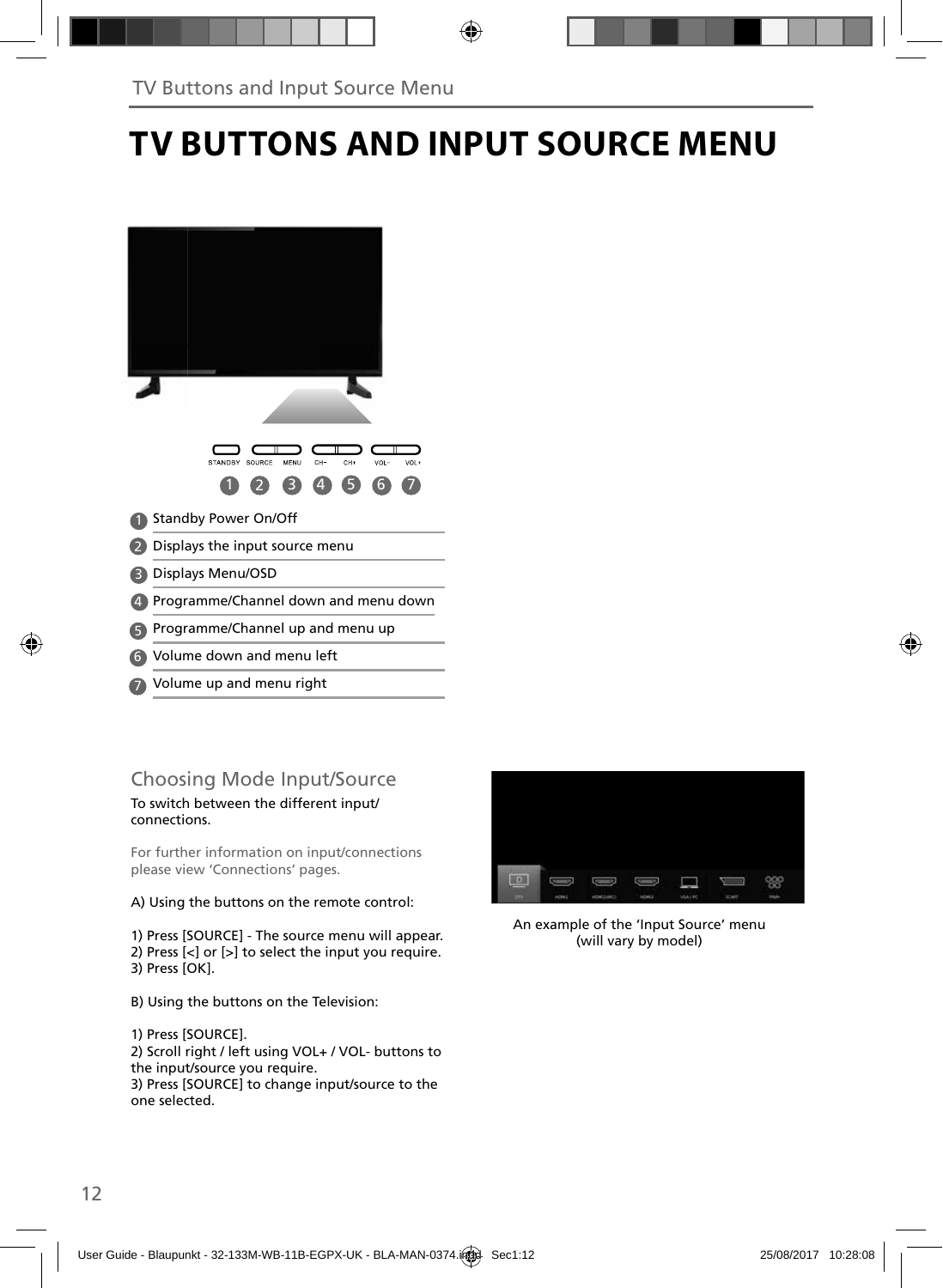# **TV BUTTONS AND INPUT SOURCE MENU**

| STANDBY<br>SOURCE<br>MENU<br>CH-<br>CH+<br>VOL-<br>VOL+<br>Δ |
|--------------------------------------------------------------|
| <b>Standby Power On/Off</b>                                  |
| Displays the input source menu                               |
| Displays Menu/OSD                                            |
| Programme/Channel down and menu down                         |
| Programme/Channel up and menu up                             |
| Volume down and menu left<br>6                               |

Volume up and menu right 7

## Choosing Mode Input/Source

#### To switch between the different input/ connections.

For further information on input/connections please view 'Connections' pages.

#### A) Using the buttons on the remote control:

1) Press [SOURCE] - The source menu will appear. 2) Press [<] or [>] to select the input you require. 3) Press [OK].

B) Using the buttons on the Television:

1) Press [SOURCE].

2) Scroll right / left using VOL+ / VOL- buttons to the input/source you require. 3) Press [SOURCE] to change input/source to the one selected.



An example of the 'Input Source' menu (will vary by model)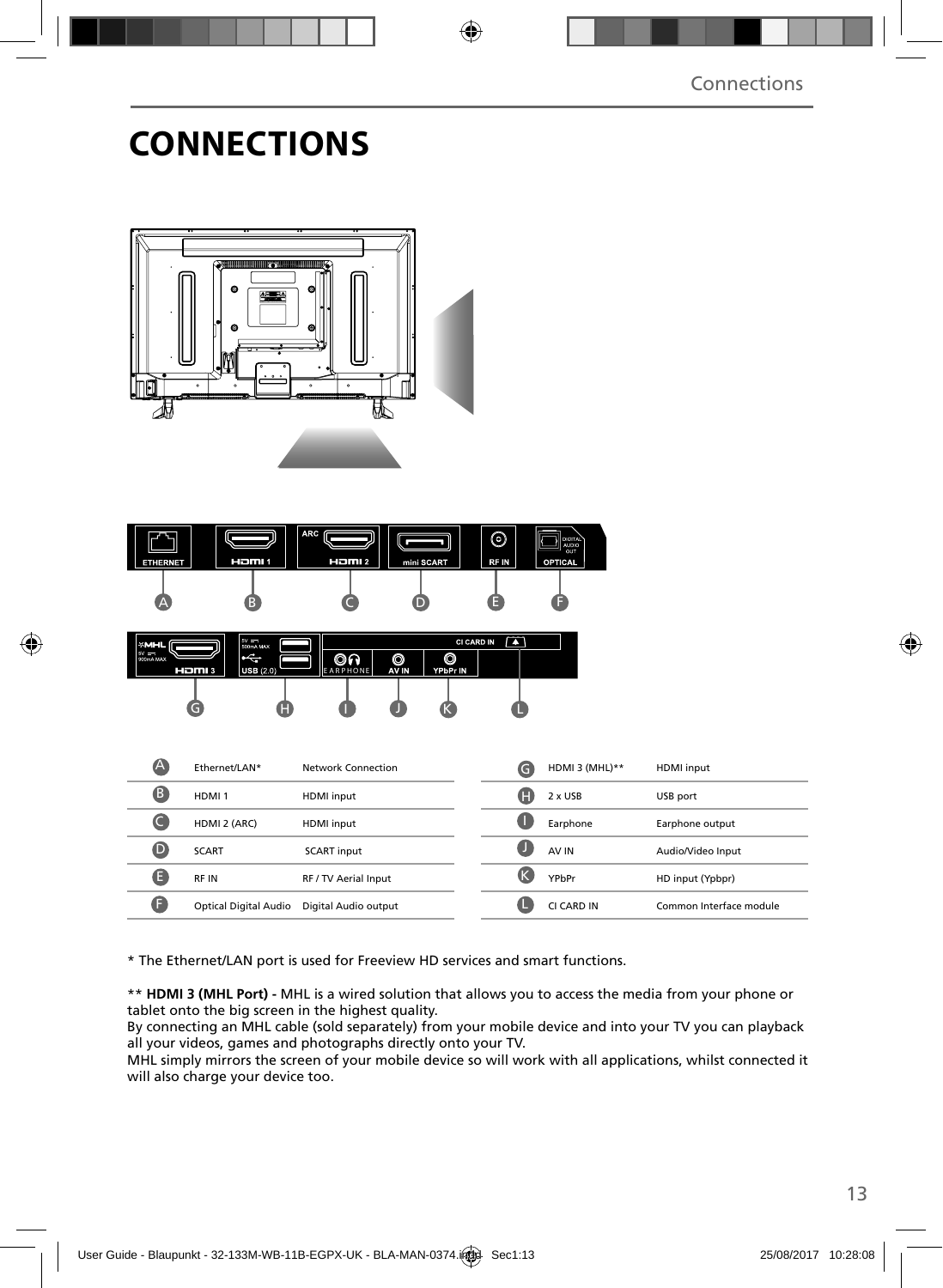## **CONNECTIONS**





| $\mathbb A$ | Ethernet/LAN*                | Network Connection   | G | HDMI 3 (MHL)** | HDMI input              |
|-------------|------------------------------|----------------------|---|----------------|-------------------------|
| B           | HDMI <sub>1</sub>            | HDMI input           | A | $2 \times$ USB | USB port                |
|             | HDMI 2 (ARC)                 | HDMI input           |   | Earphone       | Earphone output         |
| D           | <b>SCART</b>                 | <b>SCART</b> input   |   | AV IN          | Audio/Video Input       |
| E           | RF IN                        | RF / TV Aerial Input |   | YPbPr          | HD input (Ypbpr)        |
| ß           | <b>Optical Digital Audio</b> | Digital Audio output |   | CI CARD IN     | Common Interface module |
|             |                              |                      |   |                |                         |

\* The Ethernet/LAN port is used for Freeview HD services and smart functions.

\*\* **HDMI 3 (MHL Port) -** MHL is a wired solution that allows you to access the media from your phone or tablet onto the big screen in the highest quality.

By connecting an MHL cable (sold separately) from your mobile device and into your TV you can playback all your videos, games and photographs directly onto your TV.

MHL simply mirrors the screen of your mobile device so will work with all applications, whilst connected it will also charge your device too.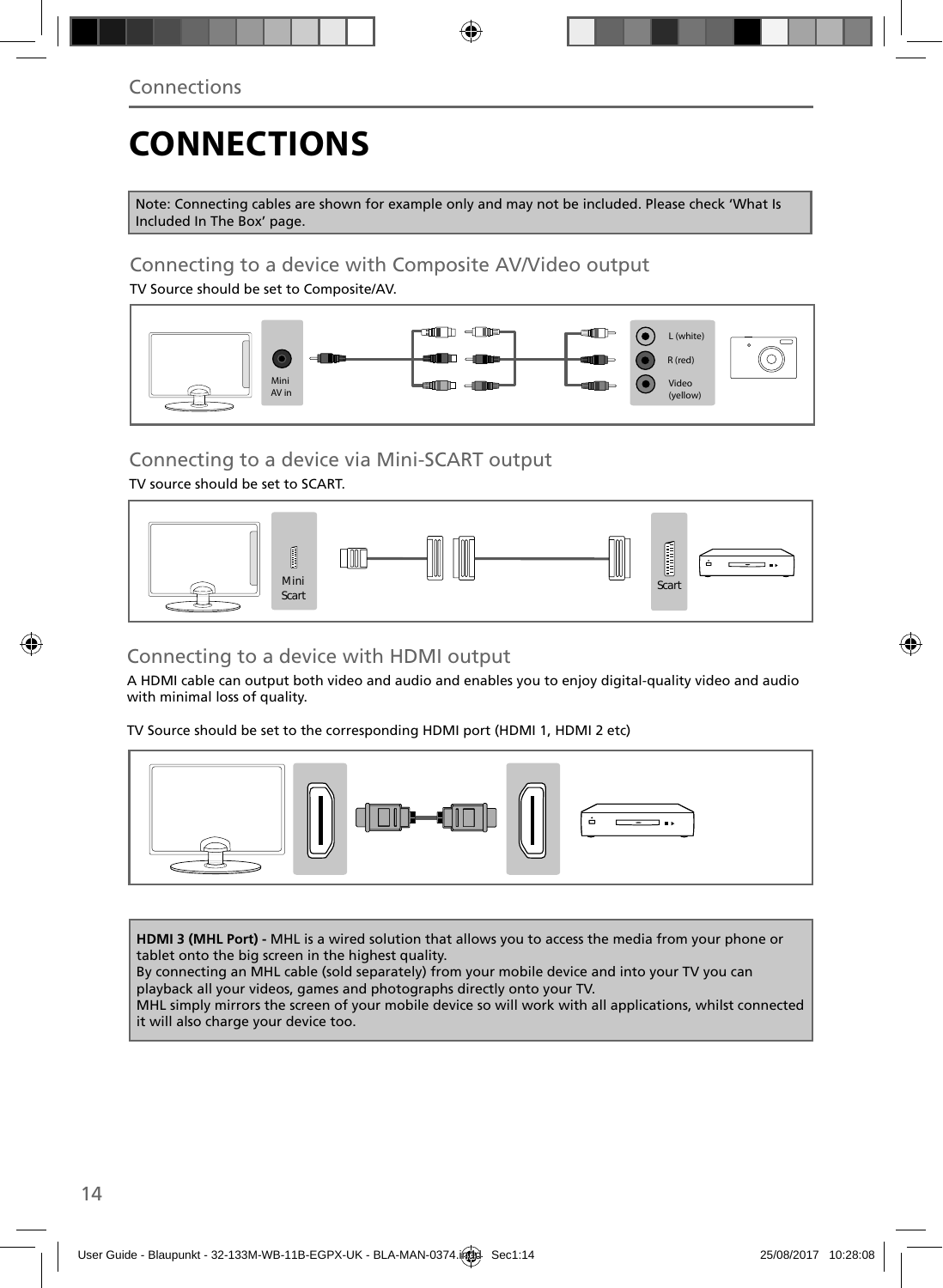# **CONNECTIONS**

Note: Connecting cables are shown for example only and may not be included. Please check 'What Is Included In The Box' page.

### Connecting to a device with Composite AV/Video output

TV Source should be set to Composite/AV.



### Connecting to a device via Mini-SCART output

TV source should be set to SCART.



## Connecting to a device with HDMI output

A HDMI cable can output both video and audio and enables you to enjoy digital-quality video and audio with minimal loss of quality.

TV Source should be set to the corresponding HDMI port (HDMI 1, HDMI 2 etc)



**HDMI 3 (MHL Port) -** MHL is a wired solution that allows you to access the media from your phone or tablet onto the big screen in the highest quality.

By connecting an MHL cable (sold separately) from your mobile device and into your TV you can playback all your videos, games and photographs directly onto your TV.

MHL simply mirrors the screen of your mobile device so will work with all applications, whilst connected it will also charge your device too.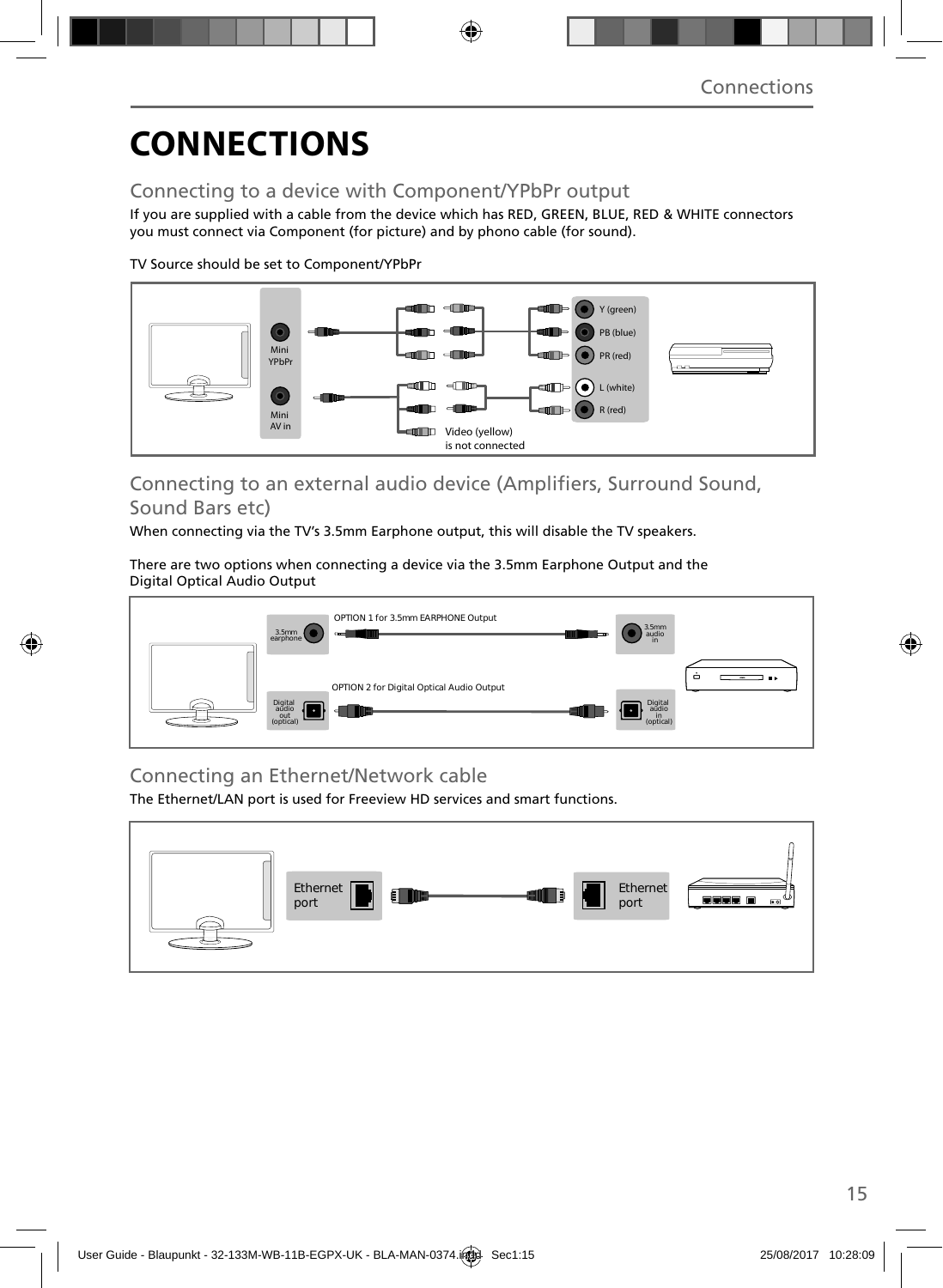# **CONNECTIONS**

### Connecting to a device with Component/YPbPr output

If you are supplied with a cable from the device which has RED, GREEN, BLUE, RED & WHITE connectors you must connect via Component (for picture) and by phono cable (for sound).

TV Source should be set to Component/YPbPr



### Connecting to an external audio device (Amplifiers, Surround Sound, Sound Bars etc)

When connecting via the TV's 3.5mm Earphone output, this will disable the TV speakers.

There are two options when connecting a device via the 3.5mm Earphone Output and the Digital Optical Audio Output



## Connecting an Ethernet/Network cable

The Ethernet/LAN port is used for Freeview HD services and smart functions.

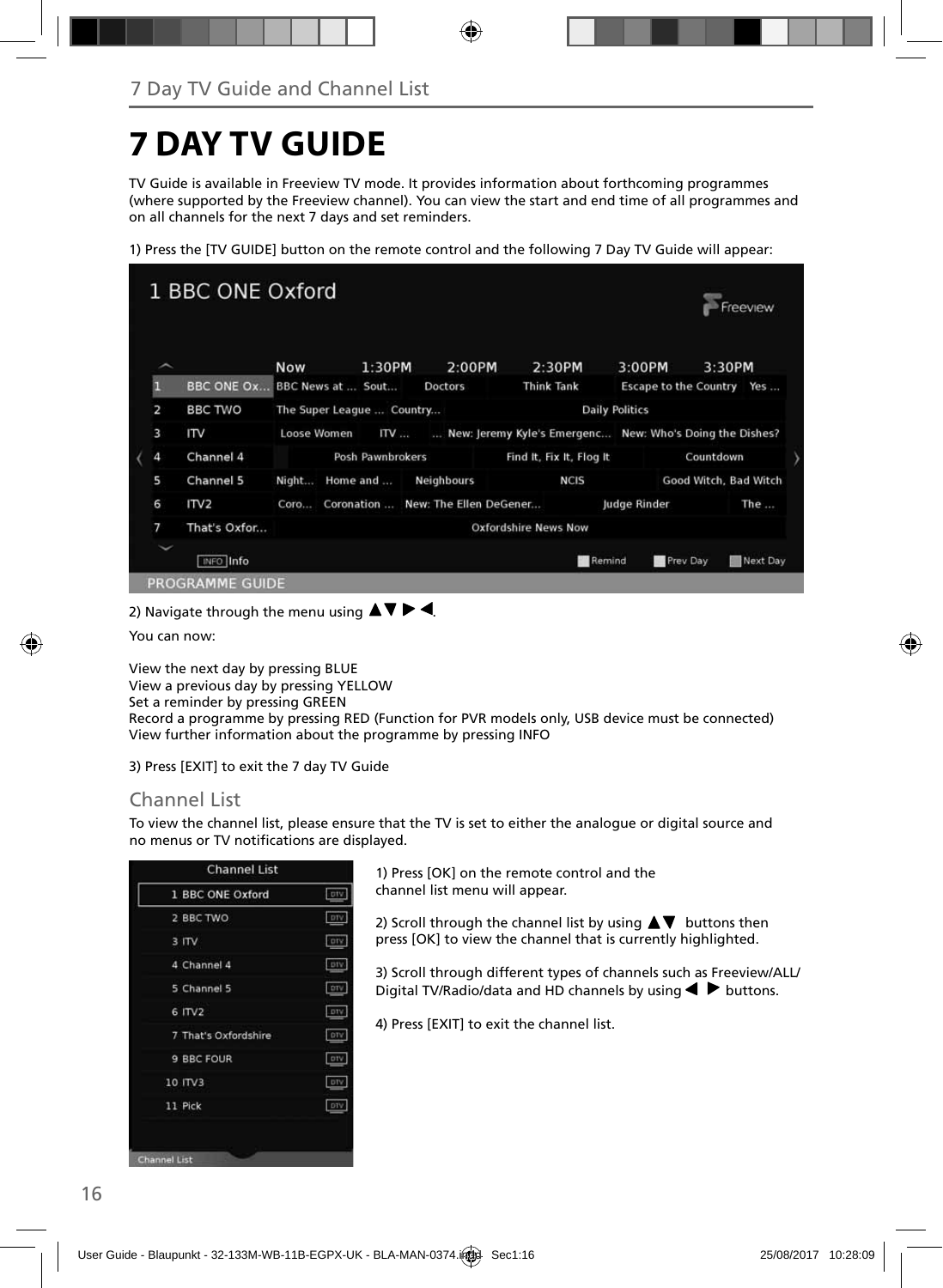# **7 DAY TV GUIDE**

TV Guide is available in Freeview TV mode. It provides information about forthcoming programmes (where supported by the Freeview channel). You can view the start and end time of all programmes and on all channels for the next 7 days and set reminders.

1) Press the [TV GUIDE] button on the remote control and the following 7 Day TV Guide will appear:



2) Navigate through the menu using  $\blacktriangle \blacktriangledown \blacktriangleright \blacktriangleleft$ .

You can now:

View the next day by pressing BLUE View a previous day by pressing YELLOW Set a reminder by pressing GREEN Record a programme by pressing RED (Function for PVR models only, USB device must be connected) View further information about the programme by pressing INFO

3) Press [EXIT] to exit the 7 day TV Guide

### Channel List

To view the channel list, please ensure that the TV is set to either the analogue or digital source and no menus or TV notifications are displayed.

| 1 BBC ONE Oxford     | <b>DIV</b> |
|----------------------|------------|
| 2 BBC TWO            | DTV        |
| $3$ ITV              | ory        |
| 4 Channel 4          | DIV.       |
| 5 Channel 5          | DTV        |
| 6 ITV2               | DIV        |
| 7 That's Oxfordshire | <b>DTV</b> |
| 9 BBC FOUR           | <b>DTV</b> |
| 10 ITV3              | <b>DTV</b> |
| 11 Pick              | DTV        |

1) Press [OK] on the remote control and the channel list menu will appear.

2) Scroll through the channel list by using  $\blacktriangle \blacktriangledown$  buttons then press [OK] to view the channel that is currently highlighted.

3) Scroll through different types of channels such as Freeview/ALL/ Digital TV/Radio/data and HD channels by using  $\blacklozenge \blacktriangleright$  buttons.

4) Press [EXIT] to exit the channel list.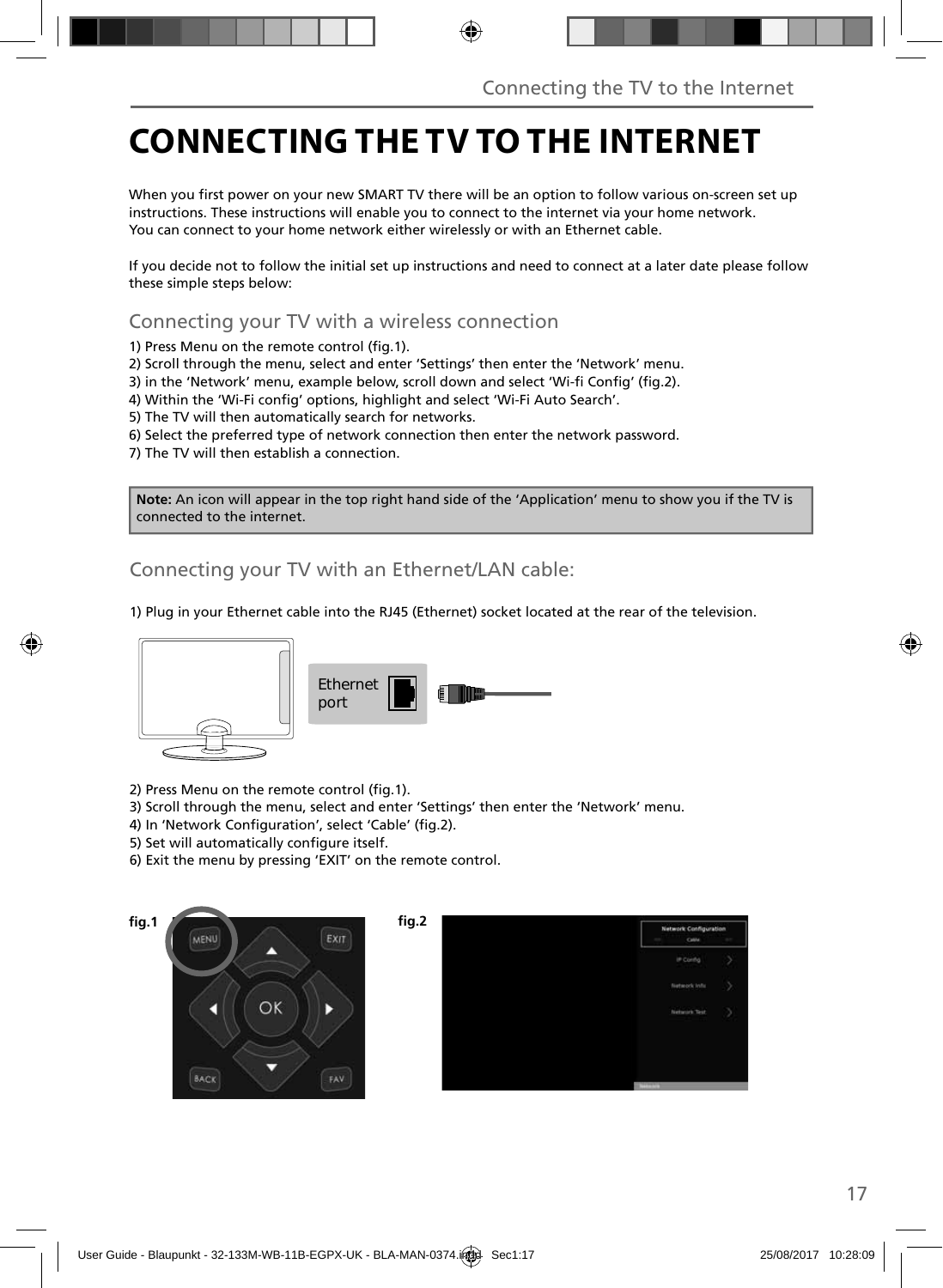# **CONNECTING THE TV TO THE INTERNET**

When you first power on your new SMART TV there will be an option to follow various on-screen set up instructions. These instructions will enable you to connect to the internet via your home network. You can connect to your home network either wirelessly or with an Ethernet cable.

If you decide not to follow the initial set up instructions and need to connect at a later date please follow these simple steps below:

Connecting your TV with a wireless connection

1) Press Menu on the remote control (fig. 1).

2) Scroll through the menu, select and enter 'Settings' then enter the 'Network' menu.

3) in the 'Network' menu, example below, scroll down and select 'Wi-fi Config' (fig.2).

4) Within the 'Wi-Fi config' options, highlight and select 'Wi-Fi Auto Search'.

5) The TV will then automatically search for networks.

6) Select the preferred type of network connection then enter the network password.

7) The TV will then establish a connection.

**Note:** An icon will appear in the top right hand side of the 'Application' menu to show you if the TV is connected to the internet.

Connecting your TV with an Ethernet/LAN cable:

1) Plug in your Ethernet cable into the RJ45 (Ethernet) socket located at the rear of the television.



2) Press Menu on the remote control (fig. 1).

OK

- 3) Scroll through the menu, select and enter 'Settings' then enter the 'Network' menu.
- 4) In 'Network Configuration', select 'Cable' (fig.2).
- 5) Set will automatically configure itself.
- 6) Exit the menu by pressing 'EXIT' on the remote control.

EXIT



BACK



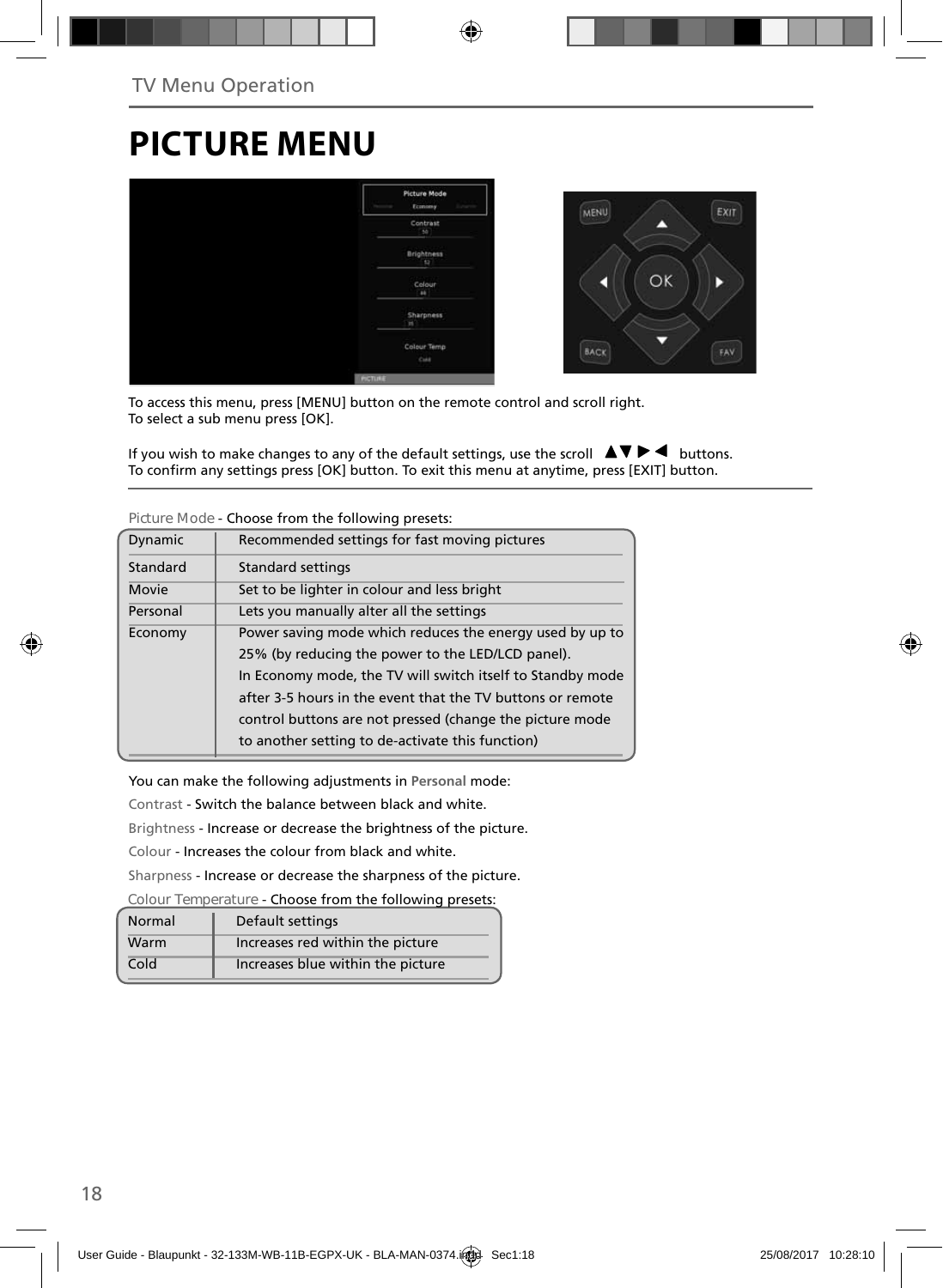# **PICTURE MENU**



To access this menu, press [MENU] button on the remote control and scroll right. To select a sub menu press [OK].

If you wish to make changes to any of the default settings, use the scroll  $\Delta \nabla \blacktriangleright$   $\blacktriangleleft$  buttons. To confirm any settings press [OK] button. To exit this menu at anytime, press [EXIT] button.

| Dynamic  | Recommended settings for fast moving pictures              |
|----------|------------------------------------------------------------|
| Standard | <b>Standard settings</b>                                   |
| Movie    | Set to be lighter in colour and less bright                |
| Personal | Lets you manually alter all the settings                   |
| Economy  | Power saving mode which reduces the energy used by up to   |
|          | 25% (by reducing the power to the LED/LCD panel).          |
|          | In Economy mode, the TV will switch itself to Standby mode |
|          | after 3-5 hours in the event that the TV buttons or remote |
|          | control buttons are not pressed (change the picture mode   |
|          | to another setting to de-activate this function)           |
|          |                                                            |

**Picture Mode** - Choose from the following presets:

You can make the following adjustments in **Personal** mode:

Contrast - Switch the balance between black and white.

Brightness - Increase or decrease the brightness of the picture.

Colour - Increases the colour from black and white.

Sharpness - Increase or decrease the sharpness of the picture.

**Colour Temperature** - Choose from the following presets:

| Normal | Default settings                  |
|--------|-----------------------------------|
| Warm   | Increases red within the picture  |
| Cold   | Increases blue within the picture |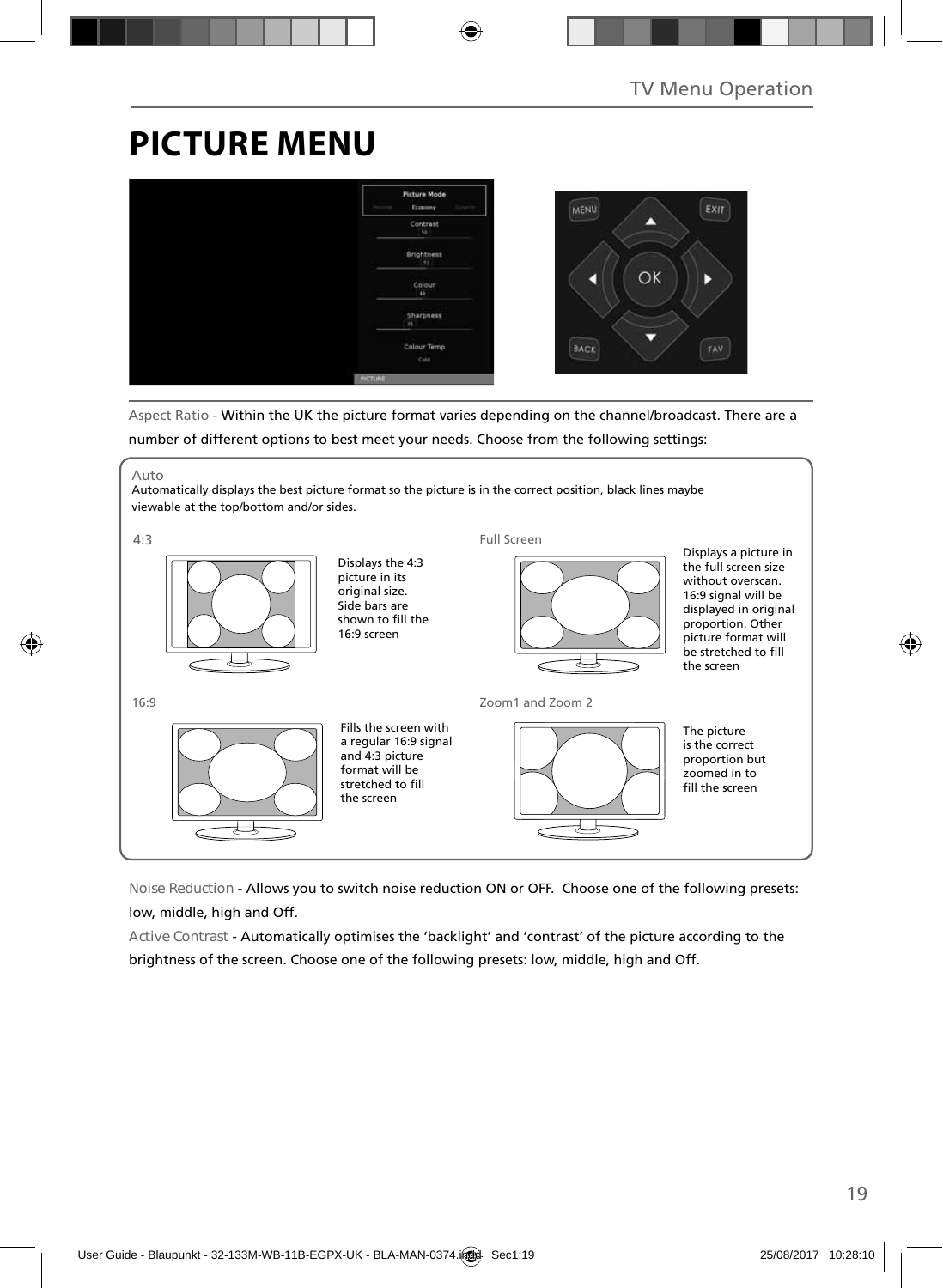# **PICTURE MENU**



Aspect Ratio - Within the UK the picture format varies depending on the channel/broadcast. There are a number of different options to best meet your needs. Choose from the following settings:



**Noise Reduction** - Allows you to switch noise reduction ON or OFF. Choose one of the following presets: low, middle, high and Off.

**Active Contrast** - Automatically optimises the 'backlight' and 'contrast' of the picture according to the brightness of the screen. Choose one of the following presets: low, middle, high and Off.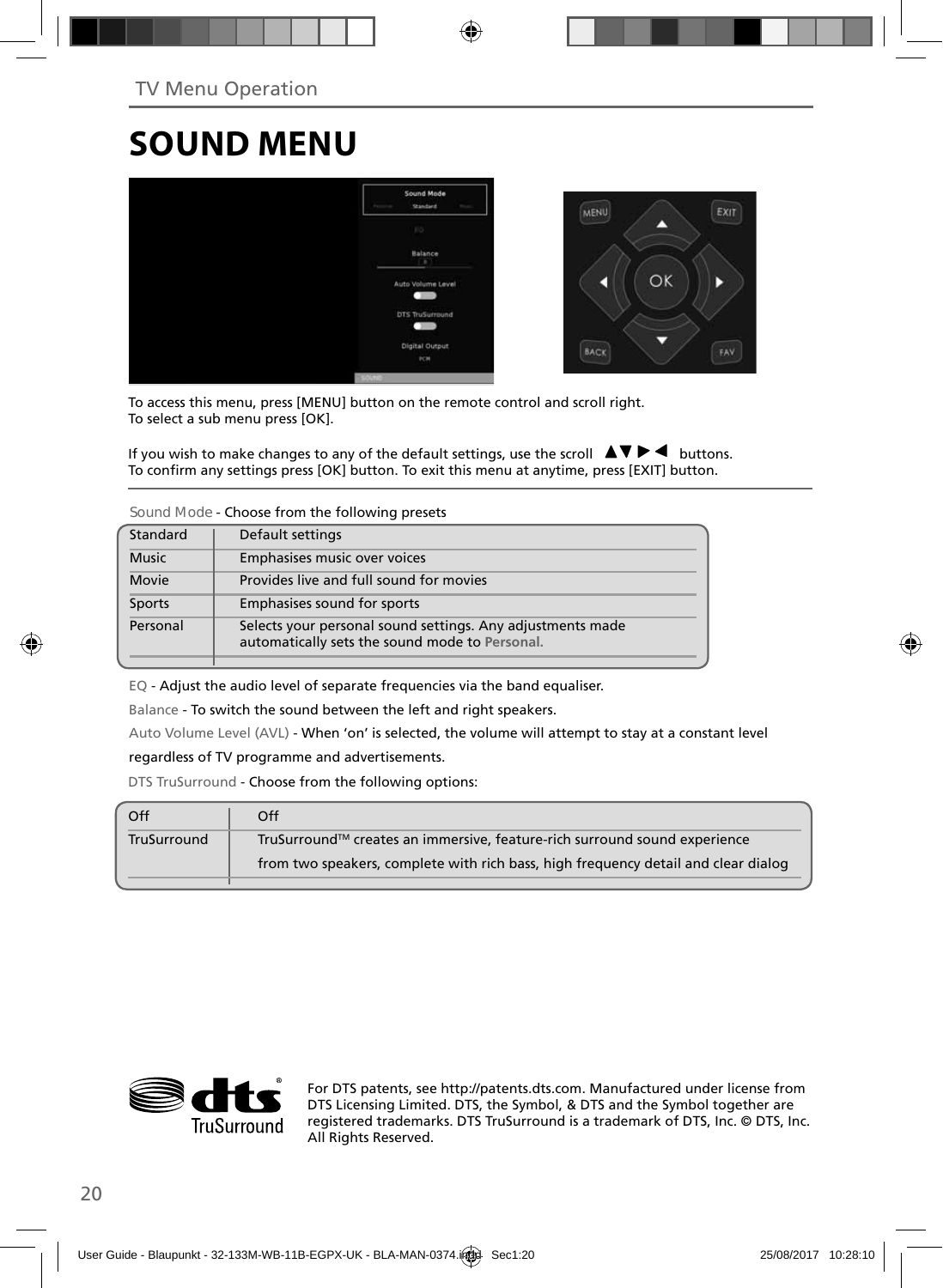# **SOUND MENU**



To access this menu, press [MENU] button on the remote control and scroll right. To select a sub menu press [OK].

If you wish to make changes to any of the default settings, use the scroll  $\Box \blacktriangledown \blacktriangleright \blacktriangleleft$  buttons. To confirm any settings press [OK] button. To exit this menu at anytime, press [EXIT] button.

**Sound Mode** - Choose from the following presets

| Standard     | Default settings                                                                                             |
|--------------|--------------------------------------------------------------------------------------------------------------|
| <b>Music</b> | Emphasises music over voices                                                                                 |
| Movie        | Provides live and full sound for movies                                                                      |
| Sports       | Emphasises sound for sports                                                                                  |
| Personal     | Selects your personal sound settings. Any adjustments made<br>automatically sets the sound mode to Personal. |

EQ - Adjust the audio level of separate frequencies via the band equaliser.

Balance - To switch the sound between the left and right speakers.

Auto Volume Level (AVL) - When 'on' is selected, the volume will attempt to stay at a constant level regardless of TV programme and advertisements.

DTS TruSurround - Choose from the following options:

| Off         | Off                                                                                |
|-------------|------------------------------------------------------------------------------------|
| TruSurround | TruSurround™ creates an immersive, feature-rich surround sound experience          |
|             | from two speakers, complete with rich bass, high frequency detail and clear dialog |
|             |                                                                                    |



For DTS patents, see http://patents.dts.com. Manufactured under license from DTS Licensing Limited. DTS, the Symbol, & DTS and the Symbol together are registered trademarks. DTS TruSurround is a trademark of DTS, Inc. © DTS, Inc. All Rights Reserved.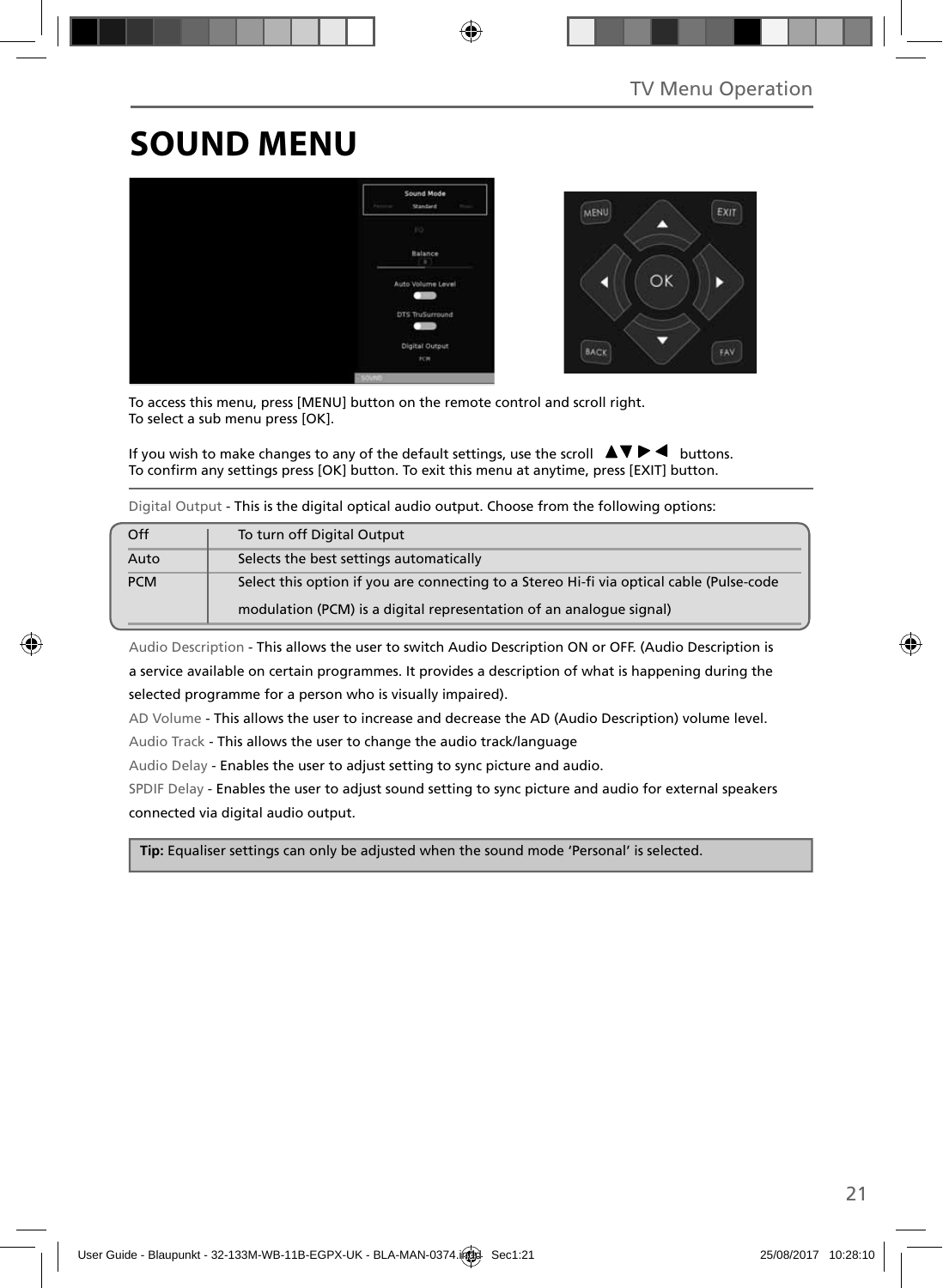# **SOUND MENU**



To access this menu, press [MENU] button on the remote control and scroll right. To select a sub menu press [OK].

If you wish to make changes to any of the default settings, use the scroll  $\blacktriangle \blacktriangledown \blacktriangleright \blacktriangleleft$  buttons. To confirm any settings press [OK] button. To exit this menu at anytime, press [EXIT] button.

Digital Output - This is the digital optical audio output. Choose from the following options:

| Off        | To turn off Digital Output                                                               |
|------------|------------------------------------------------------------------------------------------|
| Auto       | Selects the best settings automatically                                                  |
| <b>PCM</b> | Select this option if you are connecting to a Stereo Hi-fi via optical cable (Pulse-code |
|            | modulation (PCM) is a digital representation of an analogue signal)                      |

Audio Description - This allows the user to switch Audio Description ON or OFF. (Audio Description is a service available on certain programmes. It provides a description of what is happening during the selected programme for a person who is visually impaired).

AD Volume - This allows the user to increase and decrease the AD (Audio Description) volume level.

Audio Track - This allows the user to change the audio track/language

Audio Delay - Enables the user to adjust setting to sync picture and audio.

SPDIF Delay - Enables the user to adjust sound setting to sync picture and audio for external speakers connected via digital audio output.

 **Tip:** Equaliser settings can only be adjusted when the sound mode 'Personal' is selected.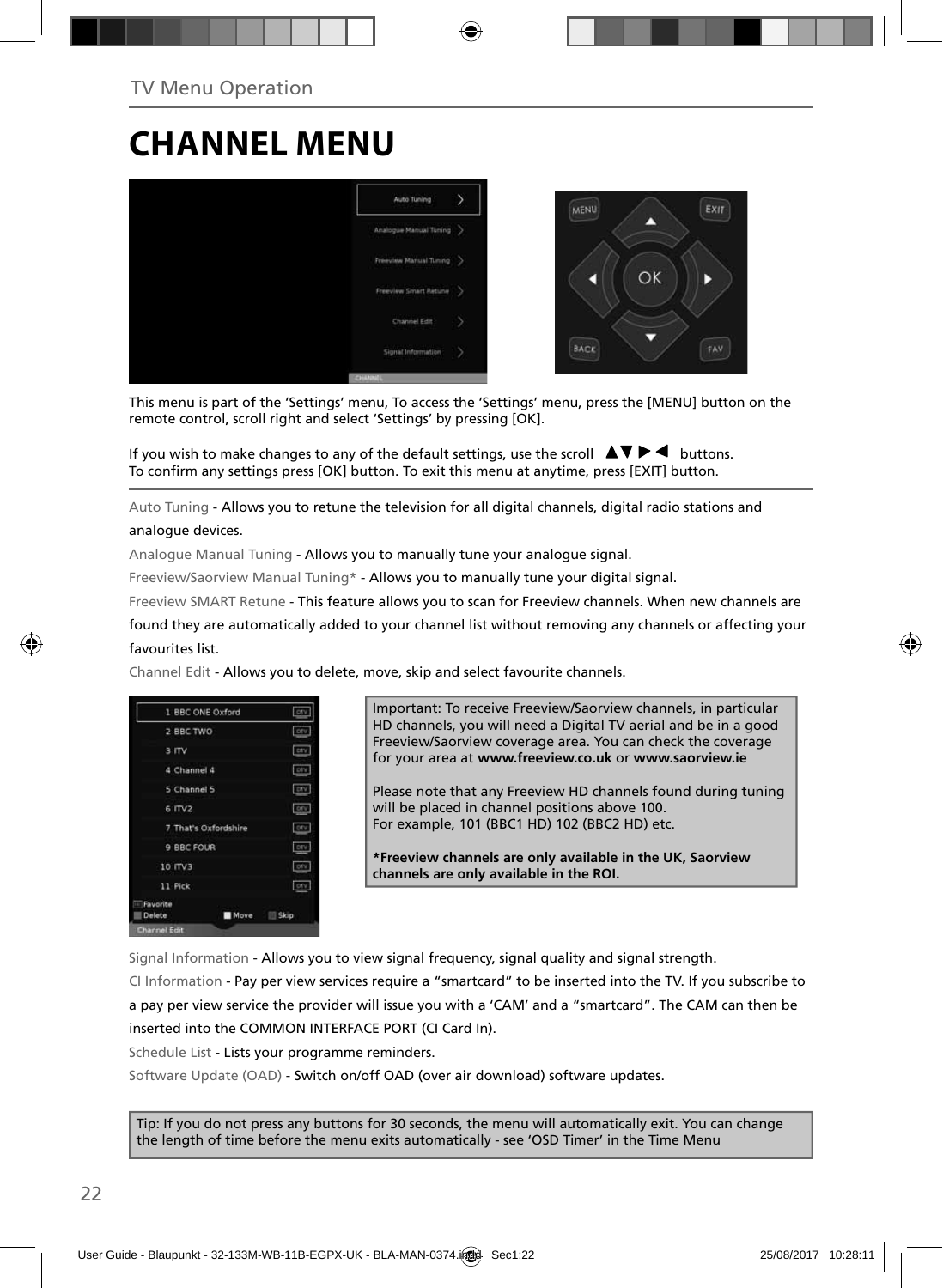## **CHANNEL MENU**



This menu is part of the 'Settings' menu, To access the 'Settings' menu, press the [MENU] button on the remote control, scroll right and select 'Settings' by pressing [OK].

If you wish to make changes to any of the default settings, use the scroll  $\Delta \nabla \blacktriangleright$   $\blacktriangleleft$  buttons. To confirm any settings press [OK] button. To exit this menu at anytime, press [EXIT] button.

Auto Tuning - Allows you to retune the television for all digital channels, digital radio stations and analogue devices.

Analogue Manual Tuning - Allows you to manually tune your analogue signal.

Freeview/Saorview Manual Tuning\* - Allows you to manually tune your digital signal.

Freeview SMART Retune - This feature allows you to scan for Freeview channels. When new channels are

found they are automatically added to your channel list without removing any channels or affecting your favourites list.

Channel Edit - Allows you to delete, move, skip and select favourite channels.

|                      | 1 BBC ONE Oxford     | oty.        |
|----------------------|----------------------|-------------|
| 2 BBC TWO            |                      | orv         |
| 3 ITV                |                      | <b>CITY</b> |
| 4 Channel 4          |                      | -pry        |
| 5 Channel 5          |                      | <b>arv</b>  |
| $6$ ITV <sub>2</sub> |                      | orv.        |
|                      | 7 That's Oxfordshire | otv         |
| 9 BBC FOUR           |                      | orv         |
| 10 ITV3              |                      | otv         |
| 11 Pick              |                      | oty:        |
| Favorite<br>Delete   | Move                 | Skip        |
| Channel Edit         |                      |             |

Important: To receive Freeview/Saorview channels, in particular HD channels, you will need a Digital TV aerial and be in a good Freeview/Saorview coverage area. You can check the coverage for your area at **www.freeview.co.uk** or **www.saorview.ie**

Please note that any Freeview HD channels found during tuning will be placed in channel positions above 100. For example, 101 (BBC1 HD) 102 (BBC2 HD) etc.

**\*Freeview channels are only available in the UK, Saorview channels are only available in the ROI.**

Signal Information - Allows you to view signal frequency, signal quality and signal strength.

CI Information - Pay per view services require a "smartcard" to be inserted into the TV. If you subscribe to a pay per view service the provider will issue you with a 'CAM' and a "smartcard". The CAM can then be inserted into the COMMON INTERFACE PORT (CI Card In).

Schedule List - Lists your programme reminders.

Software Update (OAD) - Switch on/off OAD (over air download) software updates.

Tip: If you do not press any buttons for 30 seconds, the menu will automatically exit. You can change the length of time before the menu exits automatically - see 'OSD Timer' in the Time Menu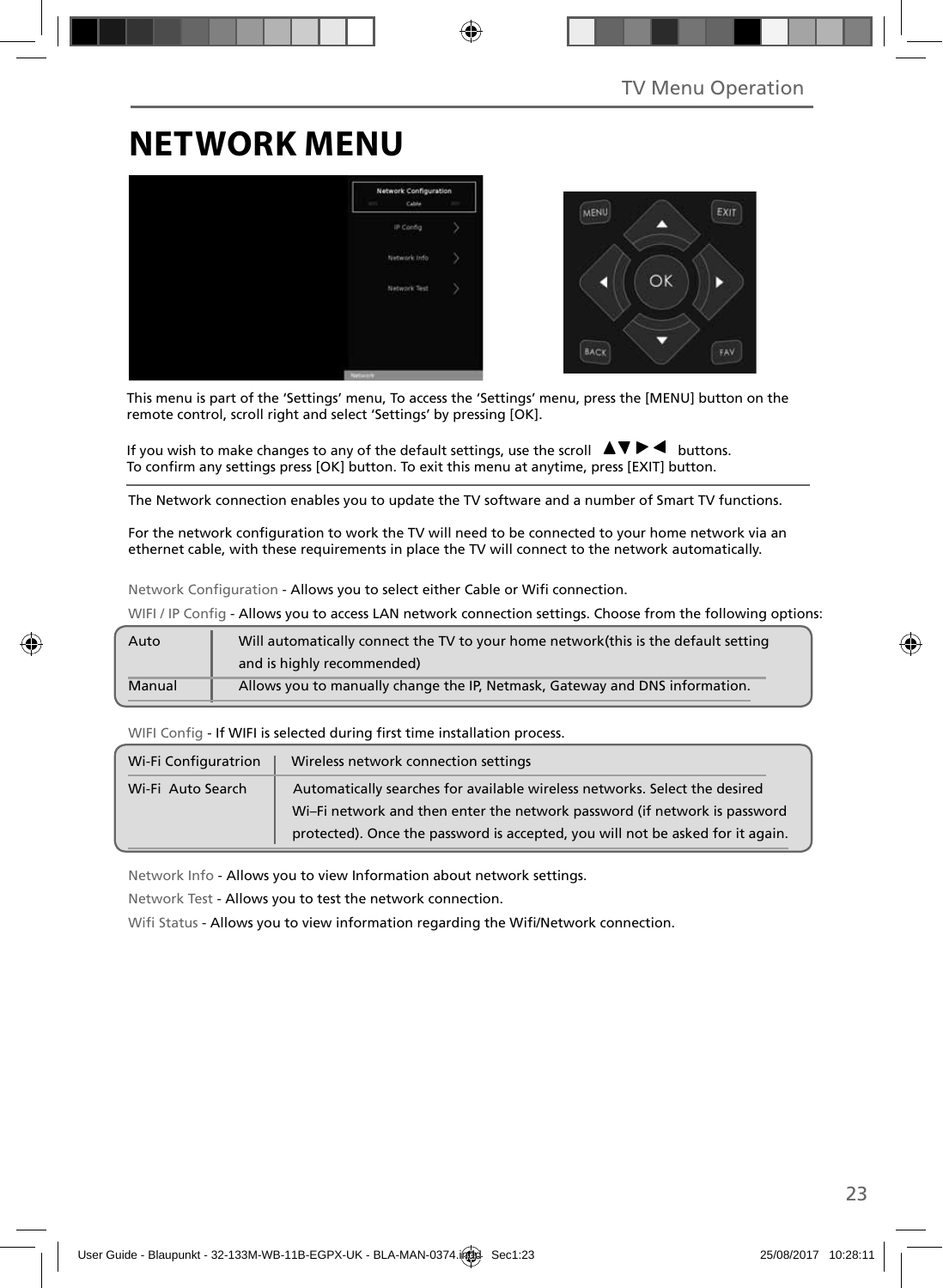# **NETWORK MENU**



This menu is part of the 'Settings' menu, To access the 'Settings' menu, press the [MENU] button on the remote control, scroll right and select 'Settings' by pressing [OK].

If you wish to make changes to any of the default settings, use the scroll  $\Box \blacktriangledown \blacktriangleright \blacktriangleleft$  buttons. To confirm any settings press [OK] button. To exit this menu at anytime, press [EXIT] button.

The Network connection enables you to update the TV software and a number of Smart TV functions.

For the network configuration to work the TV will need to be connected to your home network via an ethernet cable, with these requirements in place the TV will connect to the network automatically.

Network Configuration - Allows you to select either Cable or Wifi connection.

WIFI / IP Config - Allows you to access LAN network connection settings. Choose from the following options:

| Auto   | Will automatically connect the TV to your home network(this is the default setting |
|--------|------------------------------------------------------------------------------------|
|        | and is highly recommended)                                                         |
| Manual | Allows you to manually change the IP, Netmask, Gateway and DNS information.        |

WIFI Config - If WIFI is selected during first time installation process.

| Wi-Fi Configuratrion | Wireless network connection settings                                                                                                                    |  |
|----------------------|---------------------------------------------------------------------------------------------------------------------------------------------------------|--|
| Wi-Fi Auto Search    | Automatically searches for available wireless networks. Select the desired<br>Wi-Fi network and then enter the network password (if network is password |  |
|                      | protected). Once the password is accepted, you will not be asked for it again.                                                                          |  |

Network Info - Allows you to view Information about network settings.

Network Test - Allows you to test the network connection.

Wifi Status - Allows you to view information regarding the Wifi/Network connection.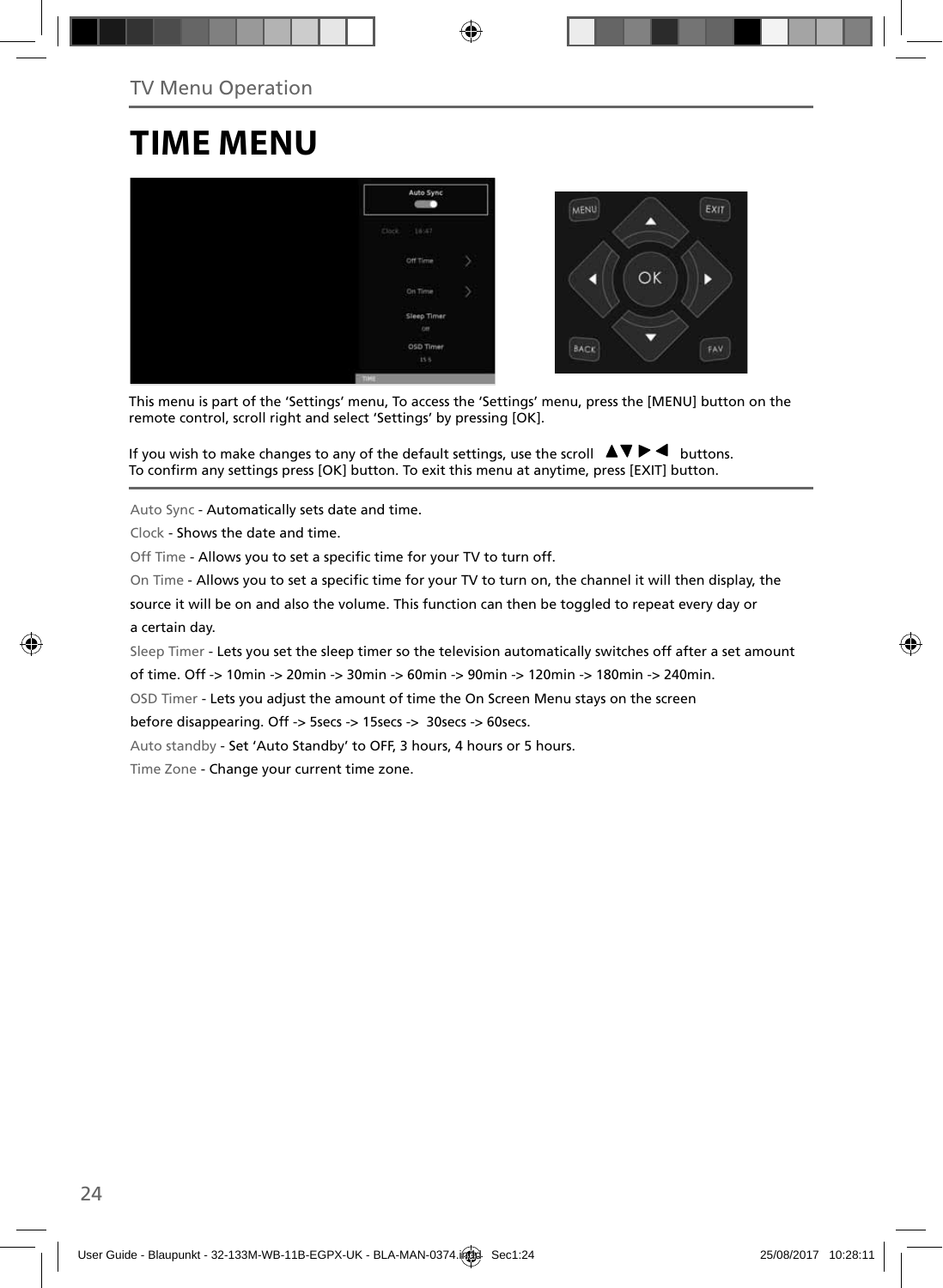## **TIME MENU**



This menu is part of the 'Settings' menu, To access the 'Settings' menu, press the [MENU] button on the remote control, scroll right and select 'Settings' by pressing [OK].

If you wish to make changes to any of the default settings, use the scroll  $\blacktriangle \blacktriangledown \blacktriangleright \blacktriangleleft$  buttons. To confirm any settings press [OK] button. To exit this menu at anytime, press [EXIT] button.

Auto Sync - Automatically sets date and time.

Clock - Shows the date and time.

Off Time - Allows you to set a specific time for your TV to turn off.

On Time - Allows you to set a specific time for your TV to turn on, the channel it will then display, the

source it will be on and also the volume. This function can then be toggled to repeat every day or a certain day.

Sleep Timer - Lets you set the sleep timer so the television automatically switches off after a set amount

of time. Off -> 10min -> 20min -> 30min -> 60min -> 90min -> 120min -> 180min -> 240min.

OSD Timer - Lets you adjust the amount of time the On Screen Menu stays on the screen

before disappearing. Off -> 5secs -> 15secs -> 30secs -> 60secs.

Auto standby - Set 'Auto Standby' to OFF, 3 hours, 4 hours or 5 hours.

Time Zone - Change your current time zone.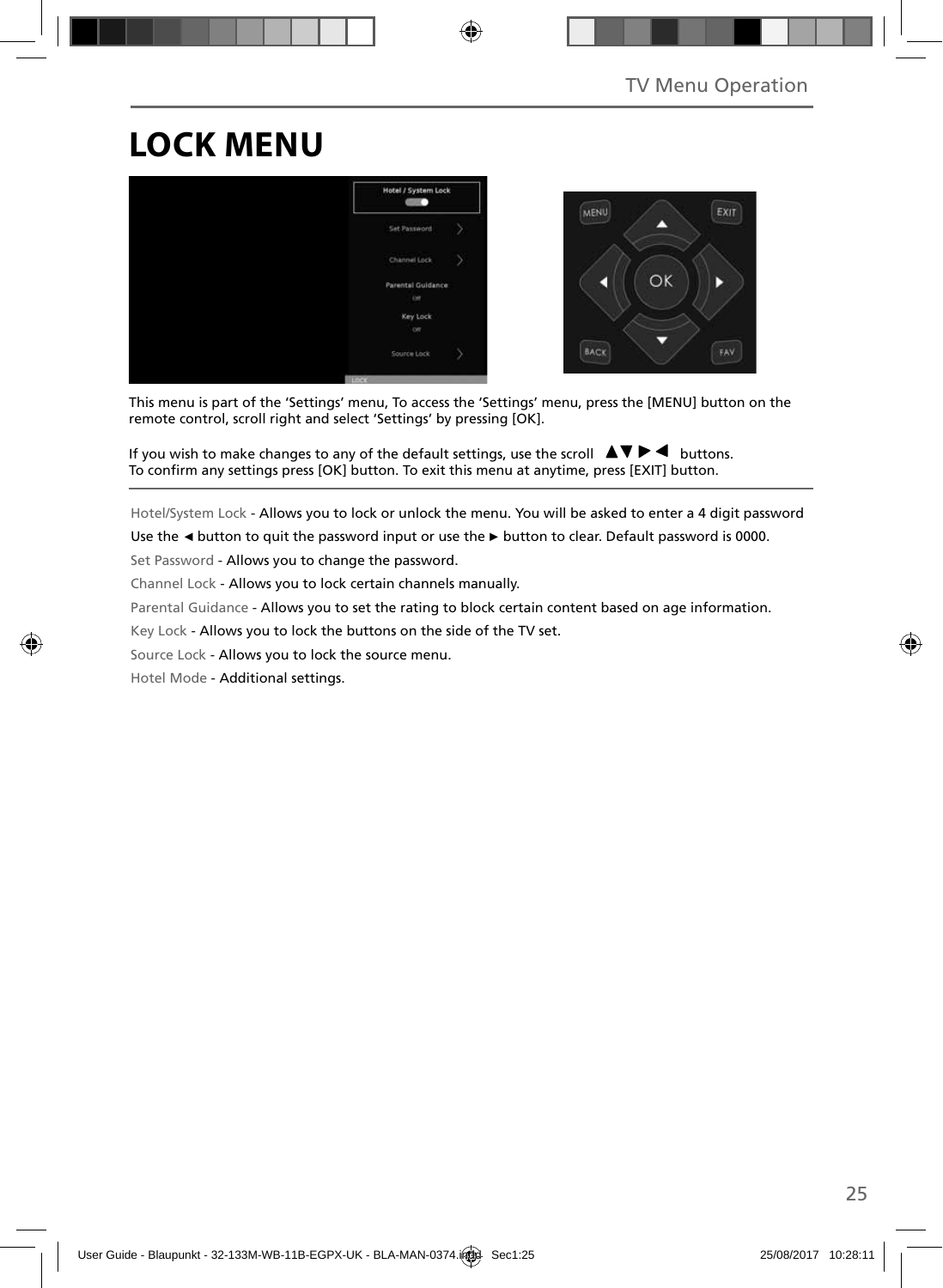# **LOCK MENU**



This menu is part of the 'Settings' menu, To access the 'Settings' menu, press the [MENU] button on the remote control, scroll right and select 'Settings' by pressing [OK].

If you wish to make changes to any of the default settings, use the scroll  $\blacktriangle \blacktriangledown \blacktriangleright \blacktriangleleft$  buttons. To confirm any settings press [OK] button. To exit this menu at anytime, press [EXIT] button.

Hotel/System Lock - Allows you to lock or unlock the menu. You will be asked to enter a 4 digit password

Use the **◄** button to quit the password input or use the **►** button to clear. Default password is 0000.

Set Password - Allows you to change the password.

Channel Lock - Allows you to lock certain channels manually.

Parental Guidance - Allows you to set the rating to block certain content based on age information.

Key Lock - Allows you to lock the buttons on the side of the TV set.

Source Lock - Allows you to lock the source menu.

Hotel Mode - Additional settings.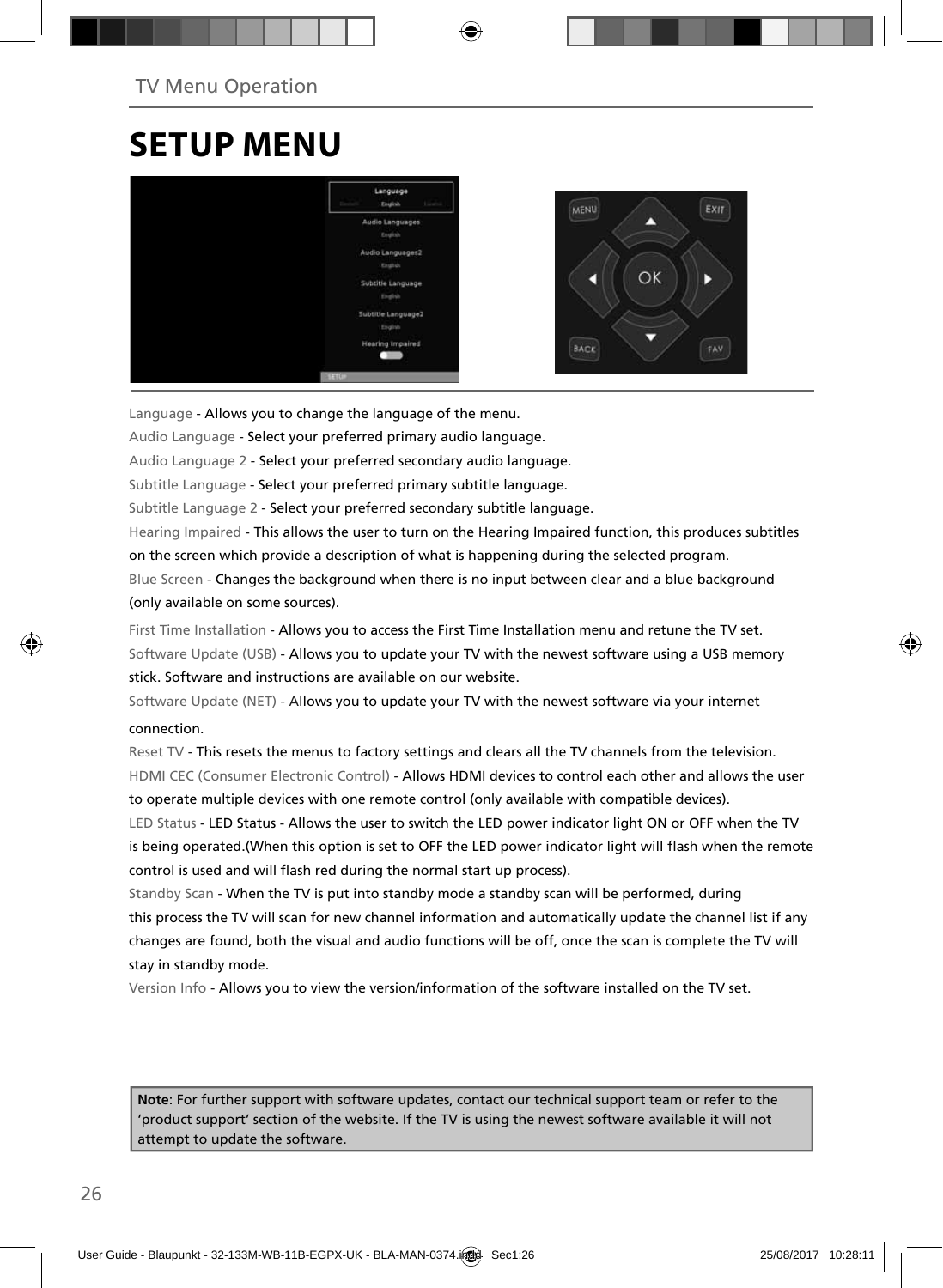## **SETUP MENU**



Language - Allows you to change the language of the menu.

Audio Language - Select your preferred primary audio language.

Audio Language 2 - Select your preferred secondary audio language.

Subtitle Language - Select your preferred primary subtitle language.

Subtitle Language 2 - Select your preferred secondary subtitle language.

Hearing Impaired - This allows the user to turn on the Hearing Impaired function, this produces subtitles on the screen which provide a description of what is happening during the selected program.

Blue Screen - Changes the background when there is no input between clear and a blue background (only available on some sources).

First Time Installation - Allows you to access the First Time Installation menu and retune the TV set. Software Update (USB) - Allows you to update your TV with the newest software using a USB memory stick. Software and instructions are available on our website.

Software Update (NET) - Allows you to update your TV with the newest software via your internet connection.

Reset TV - This resets the menus to factory settings and clears all the TV channels from the television. HDMI CEC (Consumer Electronic Control) - Allows HDMI devices to control each other and allows the user to operate multiple devices with one remote control (only available with compatible devices).

LED Status - LED Status - Allows the user to switch the LED power indicator light ON or OFF when the TV is being operated.(When this option is set to OFF the LED power indicator light will flash when the remote control is used and will flash red during the normal start up process).

Standby Scan - When the TV is put into standby mode a standby scan will be performed, during this process the TV will scan for new channel information and automatically update the channel list if any changes are found, both the visual and audio functions will be off, once the scan is complete the TV will stay in standby mode.

Version Info - Allows you to view the version/information of the software installed on the TV set.

**Note**: For further support with software updates, contact our technical support team or refer to the 'product support' section of the website. If the TV is using the newest software available it will not attempt to update the software.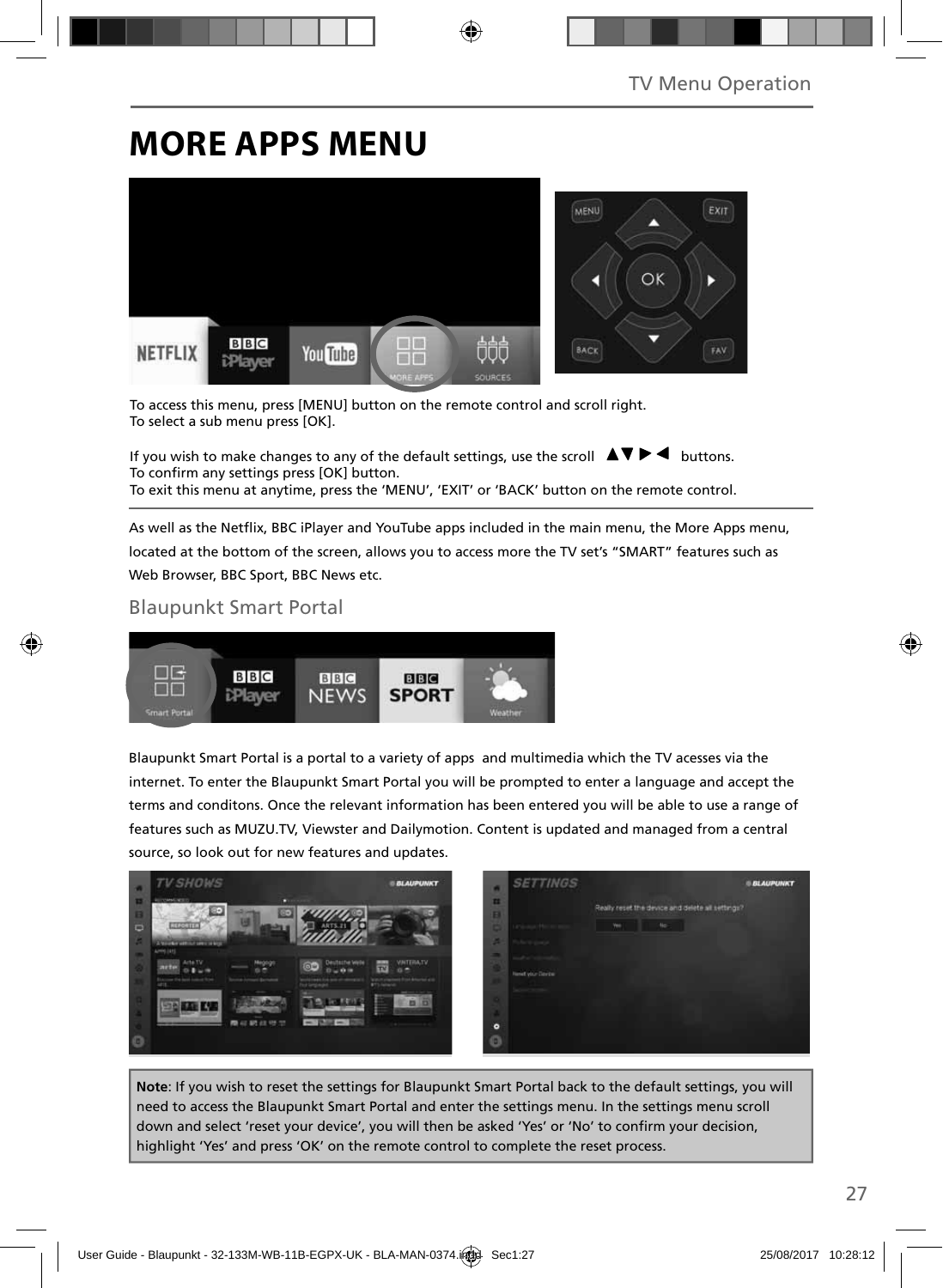## **MORE APPS MENU**



To access this menu, press [MENU] button on the remote control and scroll right. To select a sub menu press [OK].

If you wish to make changes to any of the default settings, use the scroll  $\Box \blacktriangleright \blacktriangleleft$  buttons. To confirm any settings press [OK] button. To exit this menu at anytime, press the 'MENU', 'EXIT' or 'BACK' button on the remote control.

As well as the Netflix, BBC iPlayer and YouTube apps included in the main menu, the More Apps menu, located at the bottom of the screen, allows you to access more the TV set's "SMART" features such as Web Browser, BBC Sport, BBC News etc.

### Blaupunkt Smart Portal



Blaupunkt Smart Portal is a portal to a variety of apps and multimedia which the TV acesses via the internet. To enter the Blaupunkt Smart Portal you will be prompted to enter a language and accept the terms and conditons. Once the relevant information has been entered you will be able to use a range of features such as MUZU.TV, Viewster and Dailymotion. Content is updated and managed from a central source, so look out for new features and updates.



**Note**: If you wish to reset the settings for Blaupunkt Smart Portal back to the default settings, you will need to access the Blaupunkt Smart Portal and enter the settings menu. In the settings menu scroll down and select 'reset your device', you will then be asked 'Yes' or 'No' to confirm your decision, highlight 'Yes' and press 'OK' on the remote control to complete the reset process.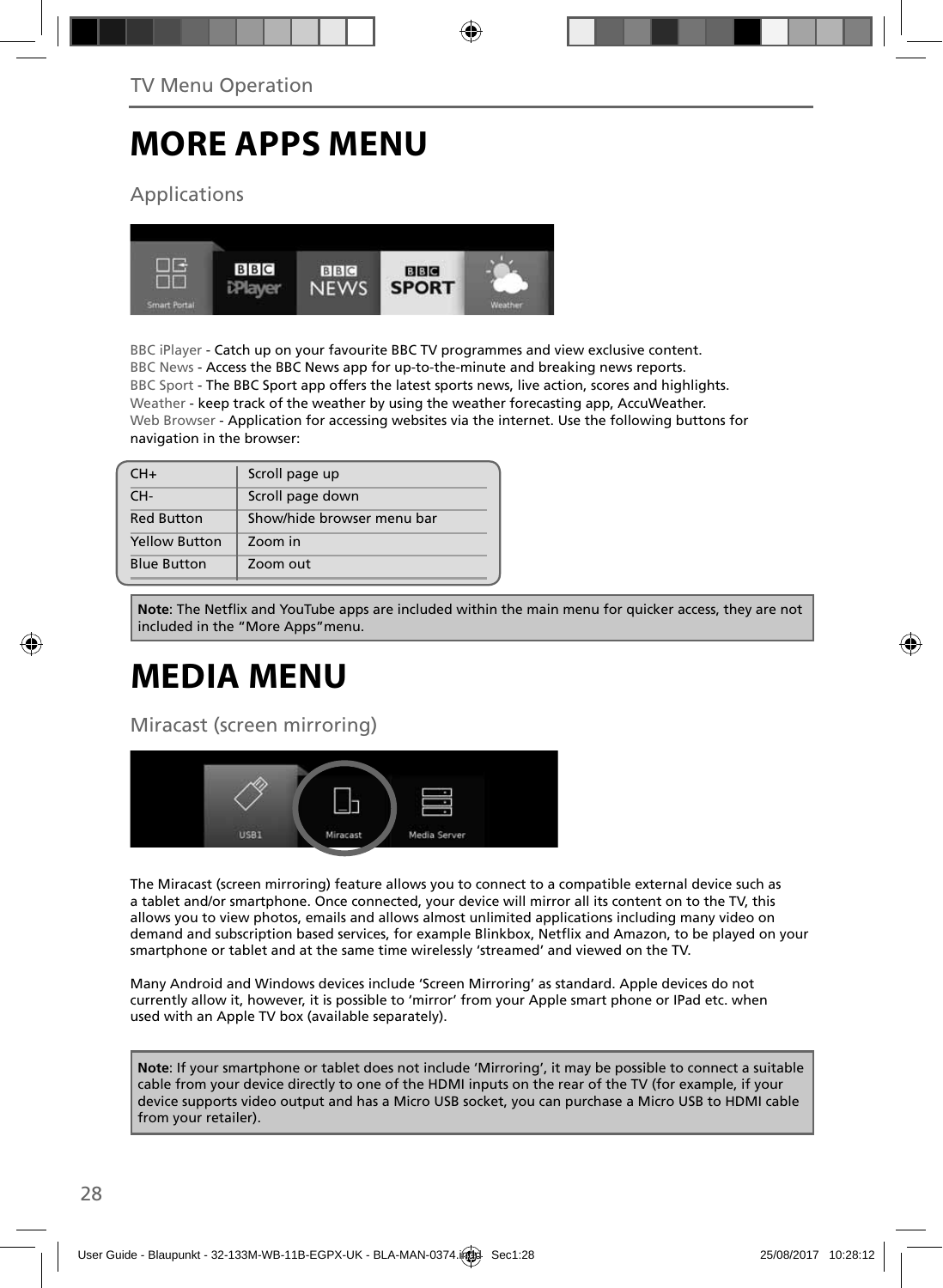# **MORE APPS MENU**

## Applications



BBC iPlayer - Catch up on your favourite BBC TV programmes and view exclusive content. BBC News - Access the BBC News app for up-to-the-minute and breaking news reports. BBC Sport - The BBC Sport app offers the latest sports news, live action, scores and highlights. Weather - keep track of the weather by using the weather forecasting app, AccuWeather. Web Browser - Application for accessing websites via the internet. Use the following buttons for navigation in the browser:

| $CH+$                | Scroll page up             |
|----------------------|----------------------------|
| CH-                  | Scroll page down           |
| <b>Red Button</b>    | Show/hide browser menu bar |
| <b>Yellow Button</b> | Zoom in                    |
| <b>Blue Button</b>   | Zoom out                   |

**Note:** The Netflix and YouTube apps are included within the main menu for quicker access, they are not included in the "More Apps"menu.

# **MEDIA MENU**

Miracast (screen mirroring)



The Miracast (screen mirroring) feature allows you to connect to a compatible external device such as a tablet and/or smartphone. Once connected, your device will mirror all its content on to the TV, this allows you to view photos, emails and allows almost unlimited applications including many video on demand and subscription based services, for example Blinkbox, Netflix and Amazon, to be played on your smartphone or tablet and at the same time wirelessly 'streamed' and viewed on the TV.

Many Android and Windows devices include 'Screen Mirroring' as standard. Apple devices do not currently allow it, however, it is possible to 'mirror' from your Apple smart phone or IPad etc. when used with an Apple TV box (available separately).

**Note**: If your smartphone or tablet does not include 'Mirroring', it may be possible to connect a suitable cable from your device directly to one of the HDMI inputs on the rear of the TV (for example, if your device supports video output and has a Micro USB socket, you can purchase a Micro USB to HDMI cable from your retailer).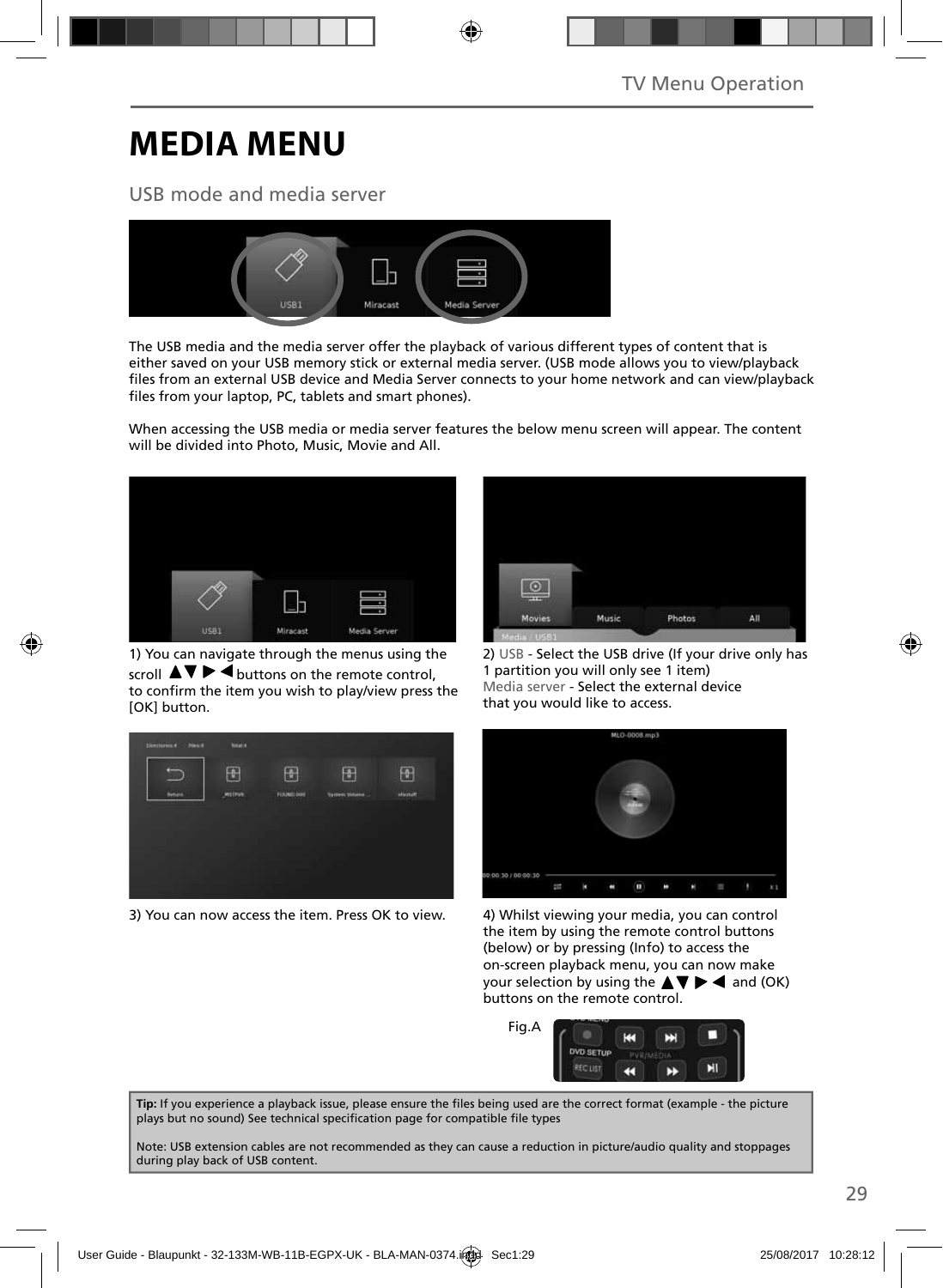# **MEDIA MENU**

### USB mode and media server



The USB media and the media server offer the playback of various different types of content that is either saved on your USB memory stick or external media server. (USB mode allows you to view/playback files from an external USB device and Media Server connects to your home network and can view/playback files from your laptop, PC, tablets and smart phones).

When accessing the USB media or media server features the below menu screen will appear. The content will be divided into Photo, Music, Movie and All.



1) You can navigate through the menus using the scroll  $\triangle \triangledown \triangleright \blacktriangleleft$  buttons on the remote control, to confirm the item you wish to play/view press the [OK] button.



3) You can now access the item. Press OK to view. 4) Whilst viewing your media, you can control



2) USB - Select the USB drive (If your drive only has 1 partition you will only see 1 item) Media server - Select the external device that you would like to access.



the item by using the remote control buttons (below) or by pressing (Info) to access the on-screen playback menu, you can now make your selection by using the  $\blacktriangle \blacktriangledown \blacktriangleright \blacktriangleleft$  and (OK) buttons on the remote control.



Tip: If you experience a playback issue, please ensure the files being used are the correct format (example - the picture plays but no sound) See technical specification page for compatible file types

Note: USB extension cables are not recommended as they can cause a reduction in picture/audio quality and stoppages during play back of USB content.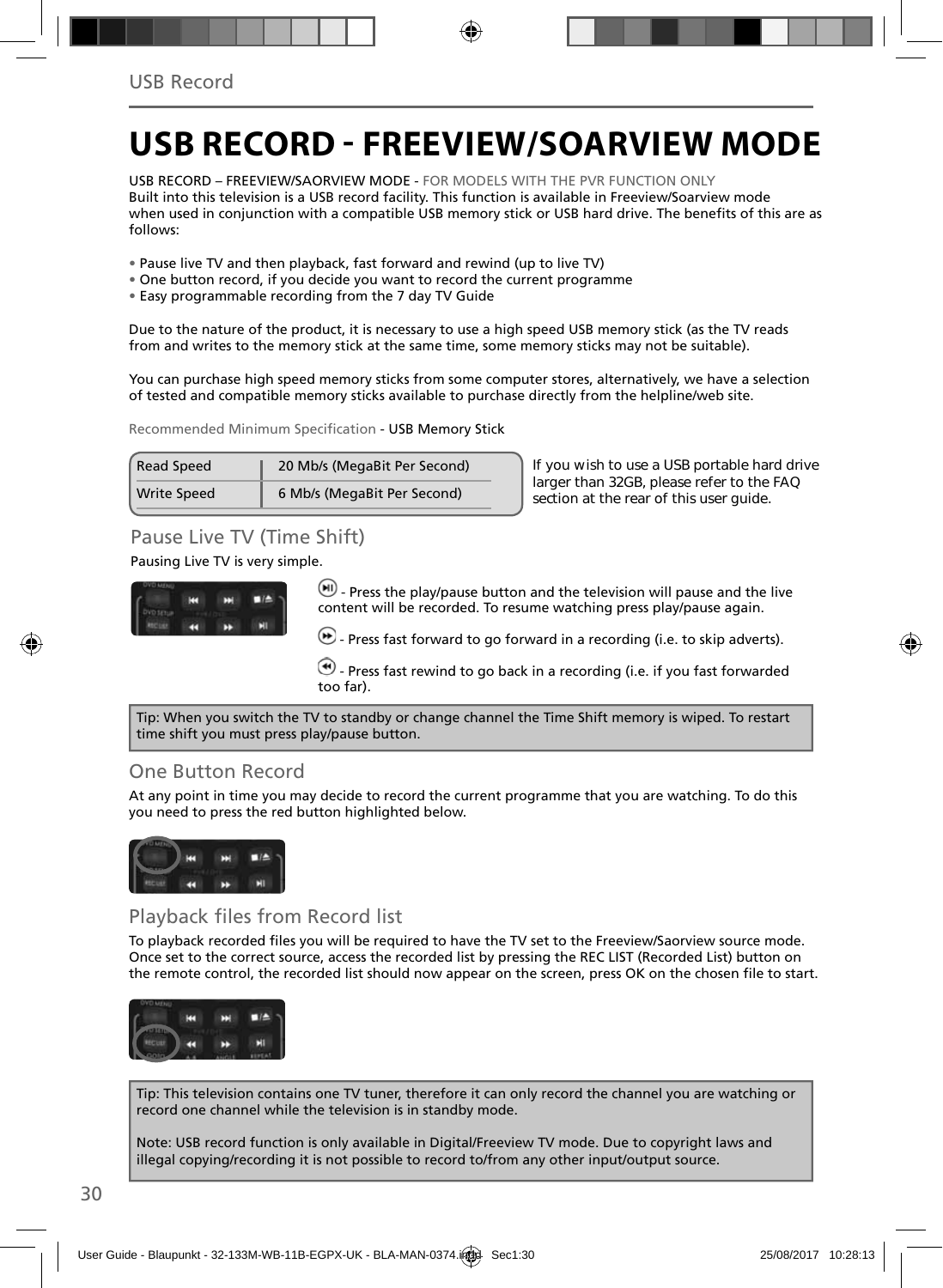## **USB RECORD - FREEVIEW/SOARVIEW MODE**

USB RECORD – FREEVIEW/SAORVIEW MODE - FOR MODELS WITH THE PVR FUNCTION ONLY Built into this television is a USB record facility. This function is available in Freeview/Soarview mode when used in conjunction with a compatible USB memory stick or USB hard drive. The benefits of this are as follows:

- Pause live TV and then playback, fast forward and rewind (up to live TV)
- One button record, if you decide you want to record the current programme
- Easy programmable recording from the 7 day TV Guide

Due to the nature of the product, it is necessary to use a high speed USB memory stick (as the TV reads from and writes to the memory stick at the same time, some memory sticks may not be suitable).

You can purchase high speed memory sticks from some computer stores, alternatively, we have a selection of tested and compatible memory sticks available to purchase directly from the helpline/web site.

Recommended Minimum Specification - USB Memory Stick

| <b>Read Speed</b>  | 20 Mb/s (MegaBit Per Second) |  |
|--------------------|------------------------------|--|
| <b>Write Speed</b> | 6 Mb/s (MegaBit Per Second)  |  |

**If you wish to use a USB portable hard drive larger than 32GB, please refer to the FAQ section at the rear of this user guide.**

## Pause Live TV (Time Shift)

Pausing Live TV is very simple.



 $\left(\blacksquare\right)$  - Press the play/pause button and the television will pause and the live content will be recorded. To resume watching press play/pause again.

 $\bigoplus$  - Press fast forward to go forward in a recording (i.e. to skip adverts).

 $\bigcirc$  - Press fast rewind to go back in a recording (i.e. if you fast forwarded too far).

Tip: When you switch the TV to standby or change channel the Time Shift memory is wiped. To restart time shift you must press play/pause button.

### One Button Record

At any point in time you may decide to record the current programme that you are watching. To do this you need to press the red button highlighted below.



### Playback files from Record list

To playback recorded files you will be required to have the TV set to the Freeview/Saorview source mode. Once set to the correct source, access the recorded list by pressing the REC LIST (Recorded List) button on the remote control, the recorded list should now appear on the screen, press OK on the chosen file to start.



Tip: This television contains one TV tuner, therefore it can only record the channel you are watching or record one channel while the television is in standby mode.

Note: USB record function is only available in Digital/Freeview TV mode. Due to copyright laws and illegal copying/recording it is not possible to record to/from any other input/output source.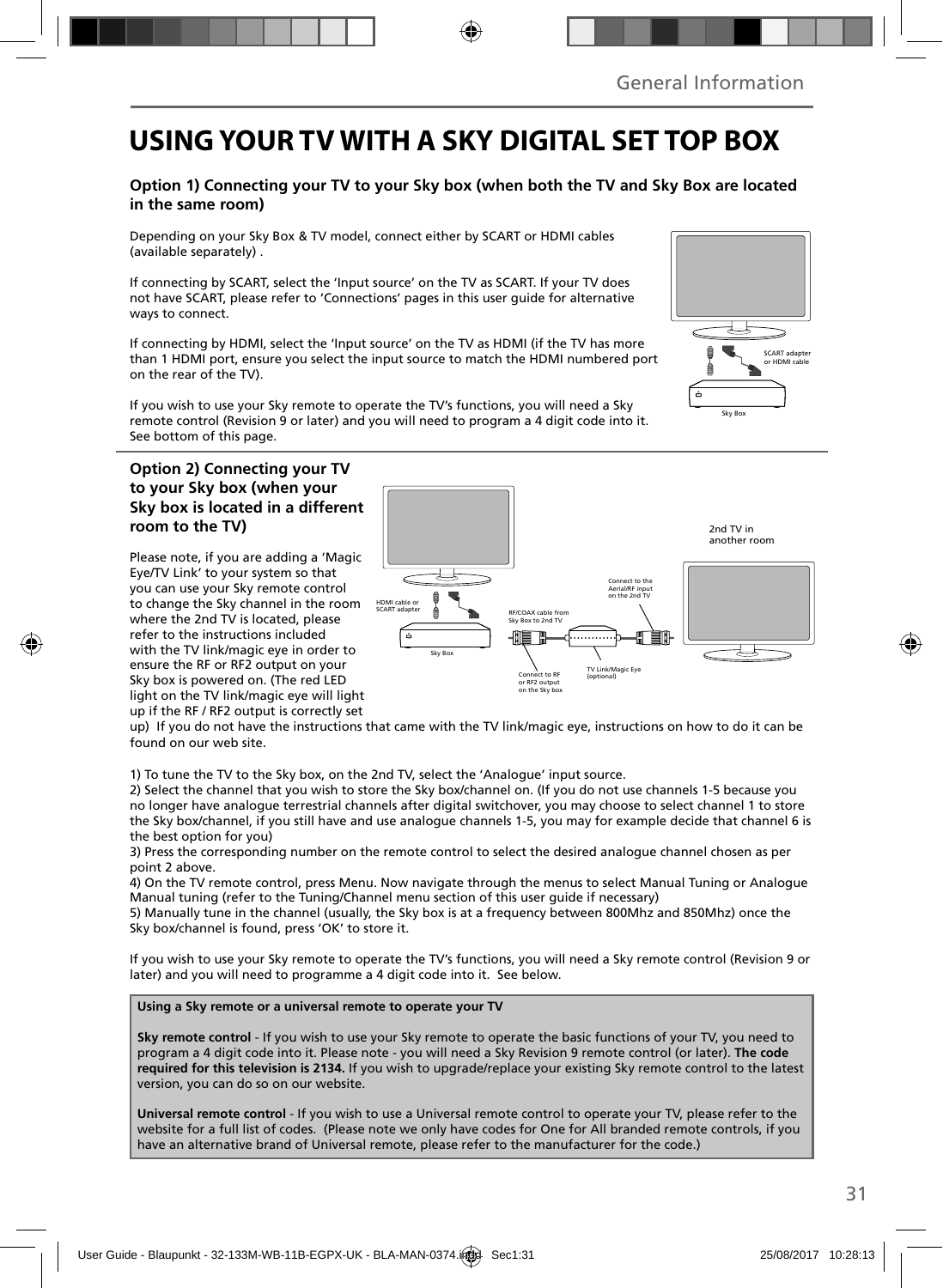## **USING YOUR TV WITH A SKY DIGITAL SET TOP BOX**

### **Option 1) Connecting your TV to your Sky box (when both the TV and Sky Box are located in the same room)**

Depending on your Sky Box & TV model, connect either by SCART or HDMI cables (available separately) .

If connecting by SCART, select the 'Input source' on the TV as SCART. If your TV does not have SCART, please refer to 'Connections' pages in this user guide for alternative ways to connect.

If connecting by HDMI, select the 'Input source' on the TV as HDMI (if the TV has more than 1 HDMI port, ensure you select the input source to match the HDMI numbered port on the rear of the TV).

If you wish to use your Sky remote to operate the TV's functions, you will need a Sky remote control (Revision 9 or later) and you will need to program a 4 digit code into it. See bottom of this page.

### **Option 2) Connecting your TV to your Sky box (when your Sky box is located in a different room to the TV)**

Please note, if you are adding a 'Magic Eye/TV Link' to your system so that you can use your Sky remote control to change the Sky channel in the room where the 2nd TV is located, please refer to the instructions included with the TV link/magic eye in order to ensure the RF or RF2 output on your Sky box is powered on. (The red LED light on the TV link/magic eye will light up if the RF / RF2 output is correctly set



up) If you do not have the instructions that came with the TV link/magic eye, instructions on how to do it can be found on our web site.

1) To tune the TV to the Sky box, on the 2nd TV, select the 'Analogue' input source.

2) Select the channel that you wish to store the Sky box/channel on. (If you do not use channels 1-5 because you no longer have analogue terrestrial channels after digital switchover, you may choose to select channel 1 to store the Sky box/channel, if you still have and use analogue channels 1-5, you may for example decide that channel 6 is the best option for you)

3) Press the corresponding number on the remote control to select the desired analogue channel chosen as per point 2 above.

4) On the TV remote control, press Menu. Now navigate through the menus to select Manual Tuning or Analogue Manual tuning (refer to the Tuning/Channel menu section of this user guide if necessary)

5) Manually tune in the channel (usually, the Sky box is at a frequency between 800Mhz and 850Mhz) once the Sky box/channel is found, press 'OK' to store it.

If you wish to use your Sky remote to operate the TV's functions, you will need a Sky remote control (Revision 9 or later) and you will need to programme a 4 digit code into it. See below.

**Using a Sky remote or a universal remote to operate your TV** 

**Sky remote control** - If you wish to use your Sky remote to operate the basic functions of your TV, you need to program a 4 digit code into it. Please note - you will need a Sky Revision 9 remote control (or later). **The code required for this television is 2134.** If you wish to upgrade/replace your existing Sky remote control to the latest version, you can do so on our website.

**Universal remote control** - If you wish to use a Universal remote control to operate your TV, please refer to the website for a full list of codes. (Please note we only have codes for One for All branded remote controls, if you have an alternative brand of Universal remote, please refer to the manufacturer for the code.)

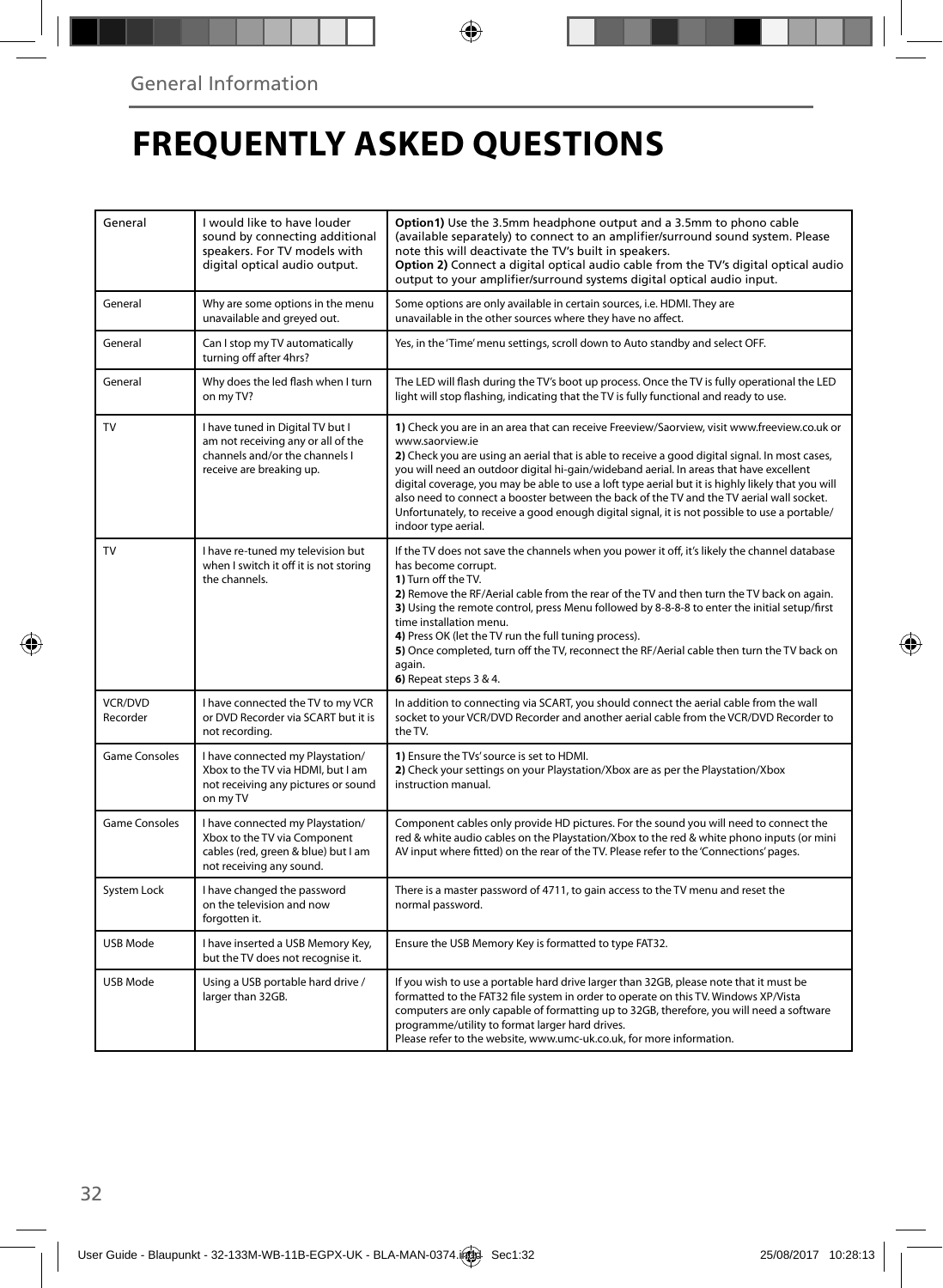# **FREQUENTLY ASKED QUESTIONS**

| General                    | I would like to have louder<br>sound by connecting additional<br>speakers. For TV models with<br>digital optical audio output.       | Option1) Use the 3.5mm headphone output and a 3.5mm to phono cable<br>(available separately) to connect to an amplifier/surround sound system. Please<br>note this will deactivate the TV's built in speakers.<br>Option 2) Connect a digital optical audio cable from the TV's digital optical audio<br>output to your amplifier/surround systems digital optical audio input.                                                                                                                                                                                                                                                     |
|----------------------------|--------------------------------------------------------------------------------------------------------------------------------------|-------------------------------------------------------------------------------------------------------------------------------------------------------------------------------------------------------------------------------------------------------------------------------------------------------------------------------------------------------------------------------------------------------------------------------------------------------------------------------------------------------------------------------------------------------------------------------------------------------------------------------------|
| General                    | Why are some options in the menu<br>unavailable and greyed out.                                                                      | Some options are only available in certain sources, i.e. HDMI. They are<br>unavailable in the other sources where they have no affect.                                                                                                                                                                                                                                                                                                                                                                                                                                                                                              |
| General                    | Can I stop my TV automatically<br>turning off after 4hrs?                                                                            | Yes, in the 'Time' menu settings, scroll down to Auto standby and select OFF.                                                                                                                                                                                                                                                                                                                                                                                                                                                                                                                                                       |
| General                    | Why does the led flash when I turn<br>on my TV?                                                                                      | The LED will flash during the TV's boot up process. Once the TV is fully operational the LED<br>light will stop flashing, indicating that the TV is fully functional and ready to use.                                                                                                                                                                                                                                                                                                                                                                                                                                              |
| TV                         | I have tuned in Digital TV but I<br>am not receiving any or all of the<br>channels and/or the channels I<br>receive are breaking up. | 1) Check you are in an area that can receive Freeview/Saorview, visit www.freeview.co.uk or<br>www.saorview.ie<br>2) Check you are using an aerial that is able to receive a good digital signal. In most cases,<br>you will need an outdoor digital hi-gain/wideband aerial. In areas that have excellent<br>digital coverage, you may be able to use a loft type aerial but it is highly likely that you will<br>also need to connect a booster between the back of the TV and the TV aerial wall socket.<br>Unfortunately, to receive a good enough digital signal, it is not possible to use a portable/<br>indoor type aerial. |
| TV                         | I have re-tuned my television but<br>when I switch it off it is not storing<br>the channels.                                         | If the TV does not save the channels when you power it off, it's likely the channel database<br>has become corrupt.<br>1) Turn off the TV.<br>2) Remove the RF/Aerial cable from the rear of the TV and then turn the TV back on again.<br>3) Using the remote control, press Menu followed by 8-8-8-8 to enter the initial setup/first<br>time installation menu.<br>4) Press OK (let the TV run the full tuning process).<br>5) Once completed, turn off the TV, reconnect the RF/Aerial cable then turn the TV back on<br>again.<br>6) Repeat steps 3 & 4.                                                                       |
| <b>VCR/DVD</b><br>Recorder | I have connected the TV to my VCR<br>or DVD Recorder via SCART but it is<br>not recording.                                           | In addition to connecting via SCART, you should connect the aerial cable from the wall<br>socket to your VCR/DVD Recorder and another aerial cable from the VCR/DVD Recorder to<br>the TV.                                                                                                                                                                                                                                                                                                                                                                                                                                          |
| <b>Game Consoles</b>       | I have connected my Playstation/<br>Xbox to the TV via HDMI, but I am<br>not receiving any pictures or sound<br>on my TV             | 1) Ensure the TVs' source is set to HDMI.<br>2) Check your settings on your Playstation/Xbox are as per the Playstation/Xbox<br>instruction manual.                                                                                                                                                                                                                                                                                                                                                                                                                                                                                 |
| <b>Game Consoles</b>       | I have connected my Playstation/<br>Xbox to the TV via Component<br>cables (red, green & blue) but I am<br>not receiving any sound.  | Component cables only provide HD pictures. For the sound you will need to connect the<br>red & white audio cables on the Playstation/Xbox to the red & white phono inputs (or mini<br>AV input where fitted) on the rear of the TV. Please refer to the 'Connections' pages.                                                                                                                                                                                                                                                                                                                                                        |
| System Lock                | I have changed the password<br>on the television and now<br>forgotten it.                                                            | There is a master password of 4711, to gain access to the TV menu and reset the<br>normal password.                                                                                                                                                                                                                                                                                                                                                                                                                                                                                                                                 |
| USB Mode                   | I have inserted a USB Memory Key,<br>but the TV does not recognise it.                                                               | Ensure the USB Memory Key is formatted to type FAT32.                                                                                                                                                                                                                                                                                                                                                                                                                                                                                                                                                                               |
| USB Mode                   | Using a USB portable hard drive /<br>larger than 32GB.                                                                               | If you wish to use a portable hard drive larger than 32GB, please note that it must be<br>formatted to the FAT32 file system in order to operate on this TV. Windows XP/Vista<br>computers are only capable of formatting up to 32GB, therefore, you will need a software<br>programme/utility to format larger hard drives.<br>Please refer to the website, www.umc-uk.co.uk, for more information.                                                                                                                                                                                                                                |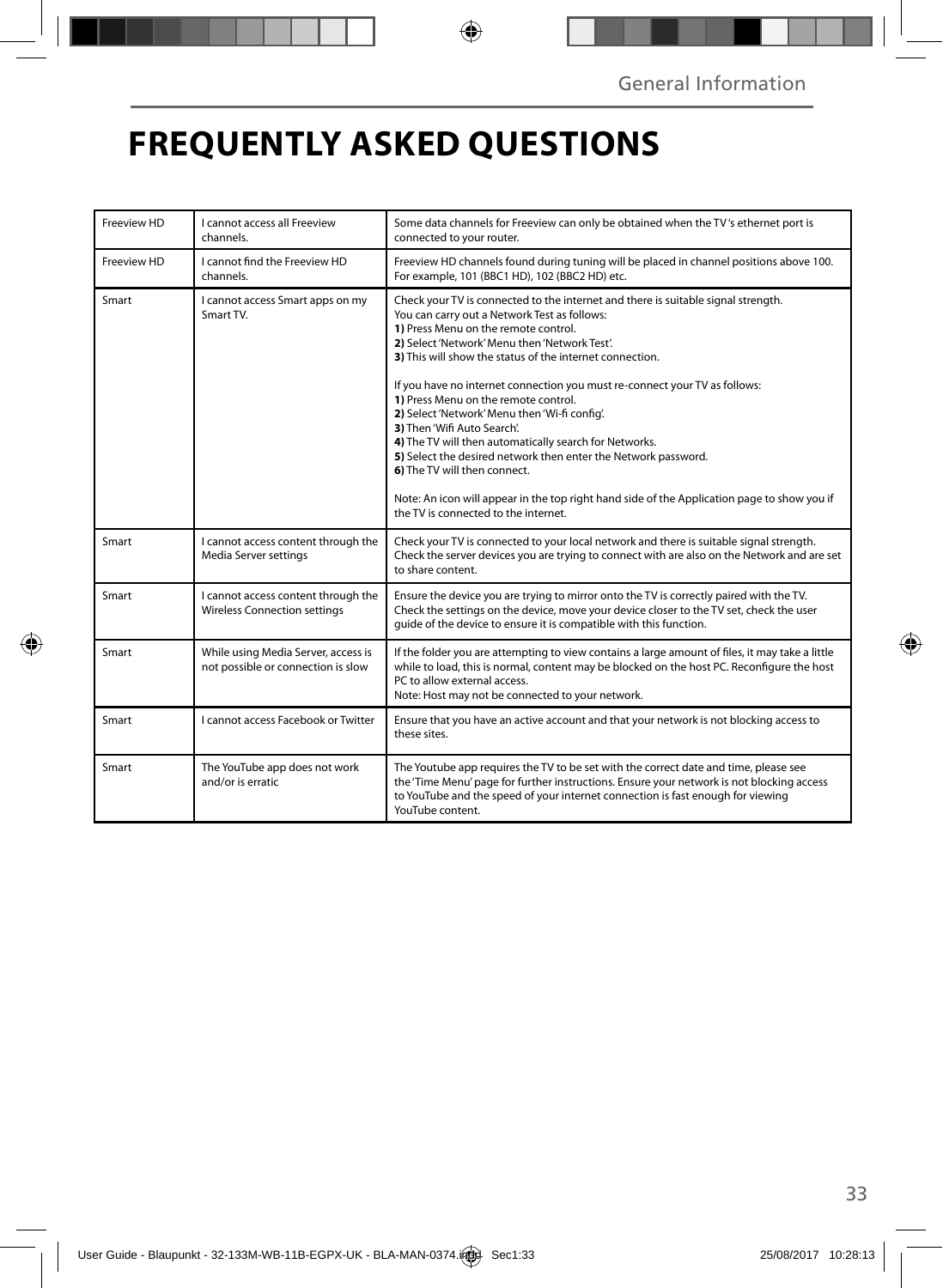# **FREQUENTLY ASKED QUESTIONS**

| Freeview HD | I cannot access all Freeview<br>channels.                                  | Some data channels for Freeview can only be obtained when the TV's ethernet port is<br>connected to your router.                                                                                                                                                                                                                                                                                                                                                                                                                                                                                                                                                                                                                                                                                |  |
|-------------|----------------------------------------------------------------------------|-------------------------------------------------------------------------------------------------------------------------------------------------------------------------------------------------------------------------------------------------------------------------------------------------------------------------------------------------------------------------------------------------------------------------------------------------------------------------------------------------------------------------------------------------------------------------------------------------------------------------------------------------------------------------------------------------------------------------------------------------------------------------------------------------|--|
| Freeview HD | I cannot find the Freeview HD<br>channels.                                 | Freeview HD channels found during tuning will be placed in channel positions above 100.<br>For example, 101 (BBC1 HD), 102 (BBC2 HD) etc.                                                                                                                                                                                                                                                                                                                                                                                                                                                                                                                                                                                                                                                       |  |
| Smart       | I cannot access Smart apps on my<br>Smart TV.                              | Check your TV is connected to the internet and there is suitable signal strength.<br>You can carry out a Network Test as follows:<br>1) Press Menu on the remote control.<br>2) Select 'Network' Menu then 'Network Test'.<br>3) This will show the status of the internet connection.<br>If you have no internet connection you must re-connect your TV as follows:<br>1) Press Menu on the remote control.<br>2) Select 'Network' Menu then 'Wi-fi config'.<br>3) Then 'Wifi Auto Search'.<br>4) The TV will then automatically search for Networks.<br>5) Select the desired network then enter the Network password.<br>6) The TV will then connect.<br>Note: An icon will appear in the top right hand side of the Application page to show you if<br>the TV is connected to the internet. |  |
| Smart       | I cannot access content through the<br>Media Server settings               | Check your TV is connected to your local network and there is suitable signal strength.<br>Check the server devices you are trying to connect with are also on the Network and are set<br>to share content.                                                                                                                                                                                                                                                                                                                                                                                                                                                                                                                                                                                     |  |
| Smart       | I cannot access content through the<br><b>Wireless Connection settings</b> | Ensure the device you are trying to mirror onto the TV is correctly paired with the TV.<br>Check the settings on the device, move your device closer to the TV set, check the user<br>quide of the device to ensure it is compatible with this function.                                                                                                                                                                                                                                                                                                                                                                                                                                                                                                                                        |  |
| Smart       | While using Media Server, access is<br>not possible or connection is slow  | If the folder you are attempting to view contains a large amount of files, it may take a little<br>while to load, this is normal, content may be blocked on the host PC. Reconfigure the host<br>PC to allow external access.<br>Note: Host may not be connected to your network.                                                                                                                                                                                                                                                                                                                                                                                                                                                                                                               |  |
| Smart       | Lcannot access Facebook or Twitter                                         | Ensure that you have an active account and that your network is not blocking access to<br>these sites.                                                                                                                                                                                                                                                                                                                                                                                                                                                                                                                                                                                                                                                                                          |  |
| Smart       | The YouTube app does not work<br>and/or is erratic                         | The Youtube app requires the TV to be set with the correct date and time, please see<br>the 'Time Menu' page for further instructions. Ensure your network is not blocking access<br>to YouTube and the speed of your internet connection is fast enough for viewing<br>YouTube content.                                                                                                                                                                                                                                                                                                                                                                                                                                                                                                        |  |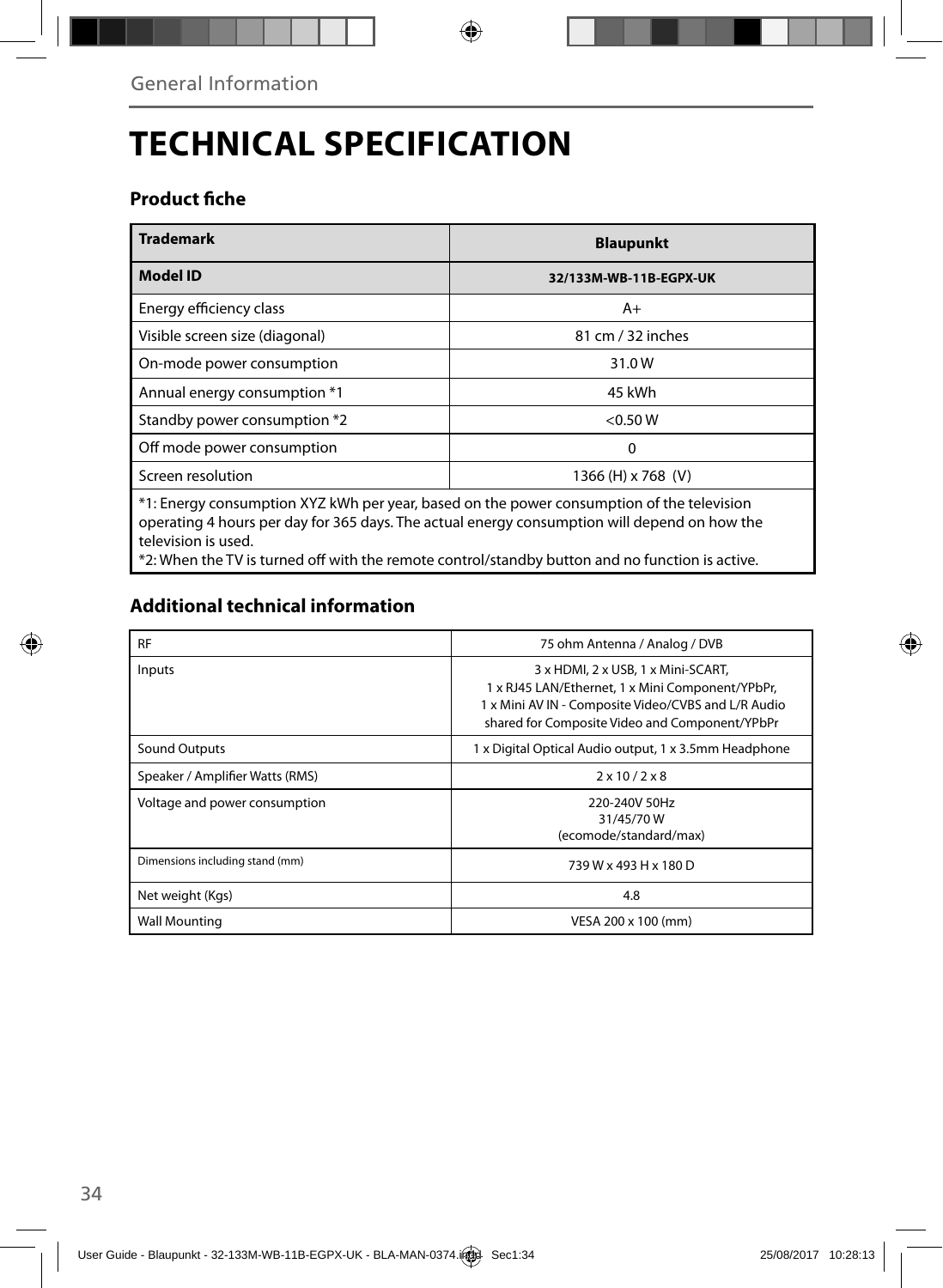# **TECHNICAL SPECIFICATION**

### Product fiche

| <b>Trademark</b>                                                                          | <b>Blaupunkt</b>       |  |
|-------------------------------------------------------------------------------------------|------------------------|--|
| <b>Model ID</b>                                                                           | 32/133M-WB-11B-EGPX-UK |  |
| Energy efficiency class                                                                   | $A+$                   |  |
| Visible screen size (diagonal)                                                            | 81 cm / 32 inches      |  |
| On-mode power consumption                                                                 | 31.0W                  |  |
| Annual energy consumption *1                                                              | 45 kWh                 |  |
| Standby power consumption *2                                                              | < 0.50 W               |  |
| Off mode power consumption                                                                | 0                      |  |
| Screen resolution                                                                         | 1366 (H) x 768 (V)     |  |
| *1: Energy consumption XYZ kWh per year, based on the power consumption of the television |                        |  |

\*1: Energy consumption XYZ kWh per year, based on the power consumption of the television operating 4 hours per day for 365 days. The actual energy consumption will depend on how the television is used.

\*2: When the TV is turned off with the remote control/standby button and no function is active.

## **Additional technical information**

| <b>RF</b>                       | 75 ohm Antenna / Analog / DVB                                                                                                                                                                   |
|---------------------------------|-------------------------------------------------------------------------------------------------------------------------------------------------------------------------------------------------|
| Inputs                          | 3 x HDMI, 2 x USB, 1 x Mini-SCART,<br>1 x RJ45 LAN/Ethernet, 1 x Mini Component/YPbPr,<br>1 x Mini AV IN - Composite Video/CVBS and L/R Audio<br>shared for Composite Video and Component/YPbPr |
| Sound Outputs                   | 1 x Digital Optical Audio output, 1 x 3.5mm Headphone                                                                                                                                           |
| Speaker / Amplifier Watts (RMS) | $2 \times 10 / 2 \times 8$                                                                                                                                                                      |
| Voltage and power consumption   | 220-240V 50Hz<br>31/45/70W<br>(ecomode/standard/max)                                                                                                                                            |
| Dimensions including stand (mm) | 739 W x 493 H x 180 D                                                                                                                                                                           |
| Net weight (Kgs)                | 4.8                                                                                                                                                                                             |
| <b>Wall Mounting</b>            | VESA 200 x 100 (mm)                                                                                                                                                                             |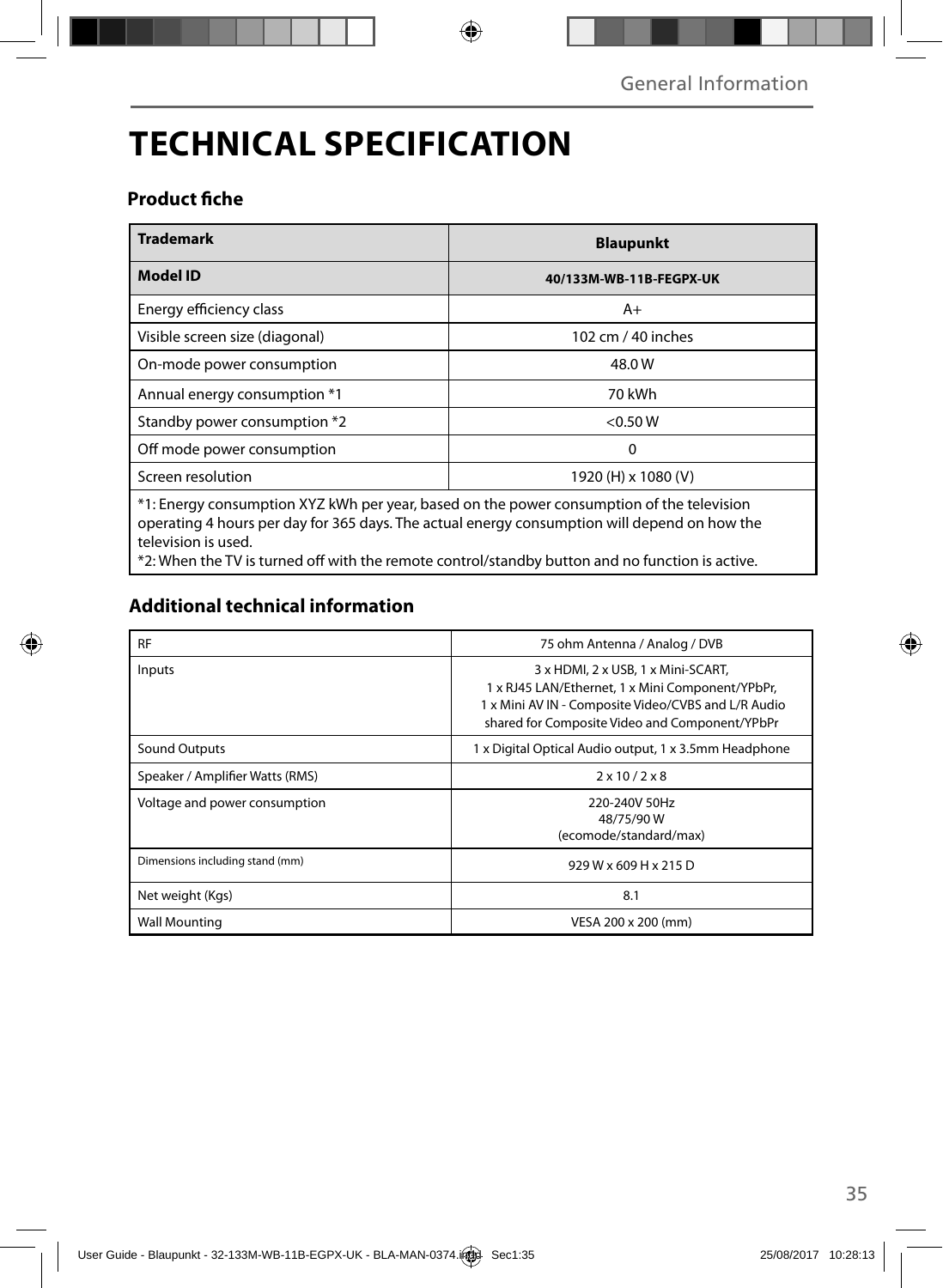# **TECHNICAL SPECIFICATION**

### Product fiche

| <b>Trademark</b>                                                                                                                                                                                             | <b>Blaupunkt</b>        |  |
|--------------------------------------------------------------------------------------------------------------------------------------------------------------------------------------------------------------|-------------------------|--|
| <b>Model ID</b>                                                                                                                                                                                              | 40/133M-WB-11B-FEGPX-UK |  |
| Energy efficiency class                                                                                                                                                                                      | $A+$                    |  |
| Visible screen size (diagonal)                                                                                                                                                                               | 102 cm / 40 inches      |  |
| On-mode power consumption                                                                                                                                                                                    | 48.0 W                  |  |
| Annual energy consumption *1                                                                                                                                                                                 | 70 kWh                  |  |
| Standby power consumption *2                                                                                                                                                                                 | < 0.50 W                |  |
| Off mode power consumption                                                                                                                                                                                   | 0                       |  |
| Screen resolution                                                                                                                                                                                            | 1920 (H) x 1080 (V)     |  |
| *1: Energy consumption XYZ kWh per year, based on the power consumption of the television<br>the contract of the contract of the contract of the contract of the contract of the contract of the contract of |                         |  |

operating 4 hours per day for 365 days. The actual energy consumption will depend on how the television is used.

\*2: When the TV is turned off with the remote control/standby button and no function is active.

## **Additional technical information**

| <b>RF</b>                       | 75 ohm Antenna / Analog / DVB                                                                                                                                                                   |
|---------------------------------|-------------------------------------------------------------------------------------------------------------------------------------------------------------------------------------------------|
| Inputs                          | 3 x HDMI, 2 x USB, 1 x Mini-SCART,<br>1 x RJ45 LAN/Ethernet, 1 x Mini Component/YPbPr,<br>1 x Mini AV IN - Composite Video/CVBS and L/R Audio<br>shared for Composite Video and Component/YPbPr |
| Sound Outputs                   | 1 x Digital Optical Audio output, 1 x 3.5mm Headphone                                                                                                                                           |
| Speaker / Amplifier Watts (RMS) | $2 \times 10 / 2 \times 8$                                                                                                                                                                      |
| Voltage and power consumption   | 220-240V 50Hz<br>48/75/90W<br>(ecomode/standard/max)                                                                                                                                            |
| Dimensions including stand (mm) | 929 W x 609 H x 215 D                                                                                                                                                                           |
| Net weight (Kgs)                | 8.1                                                                                                                                                                                             |
| <b>Wall Mounting</b>            | VESA 200 x 200 (mm)                                                                                                                                                                             |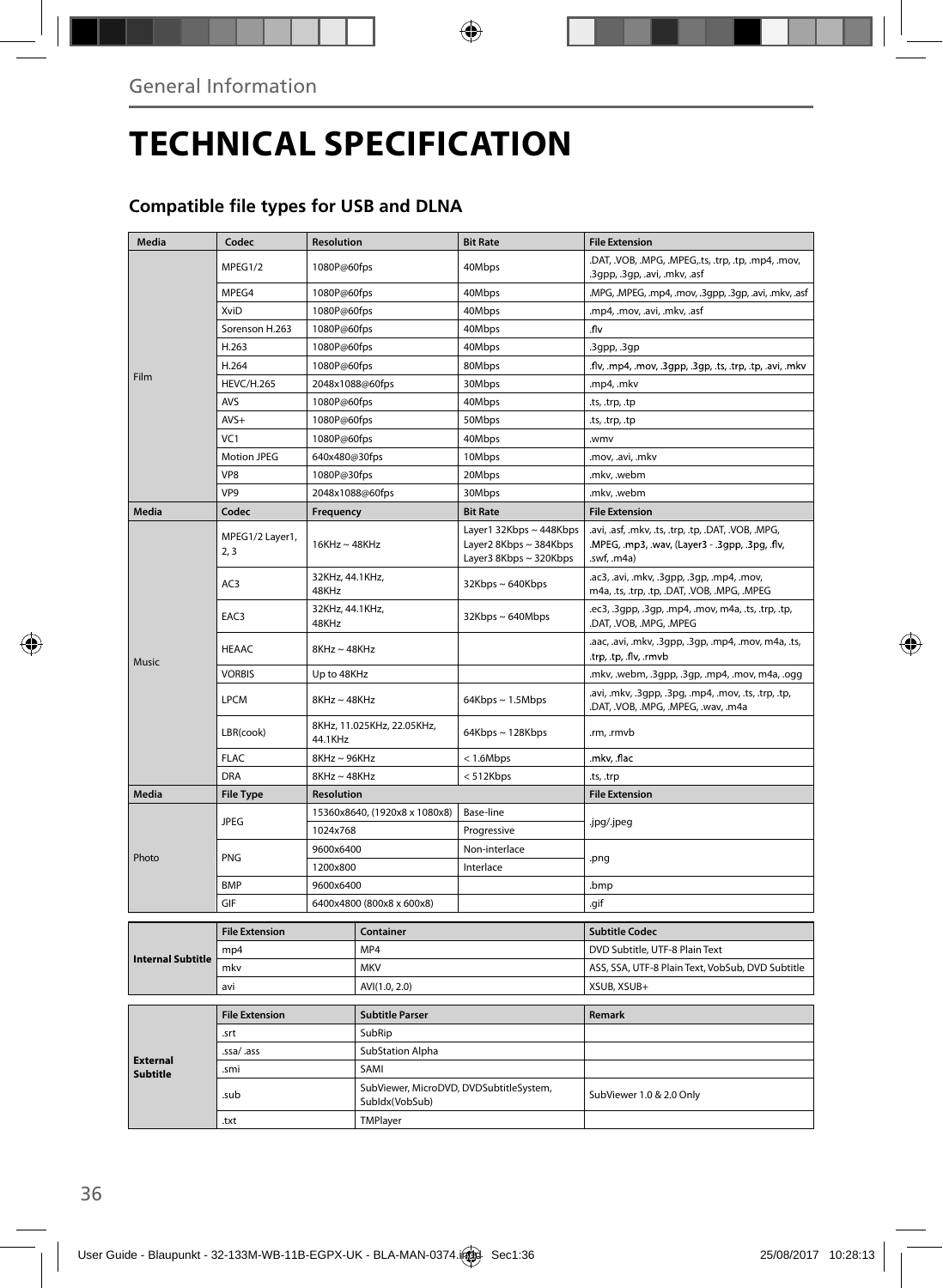# **TECHNICAL SPECIFICATION**

## **Compatible file types for USB and DLNA**

| Media                    | Codec                   | <b>Resolution</b>                     |                                                           | <b>Bit Rate</b>                                                             | <b>File Extension</b>                                                                                                 |
|--------------------------|-------------------------|---------------------------------------|-----------------------------------------------------------|-----------------------------------------------------------------------------|-----------------------------------------------------------------------------------------------------------------------|
|                          | MPEG1/2                 | 1080P@60fps                           |                                                           | 40Mbps                                                                      | .DAT, .VOB, .MPG, .MPEG,.ts, .trp, .tp, .mp4, .mov,<br>.3gpp, .3gp, .avi, .mkv, .asf                                  |
|                          | MPEG4                   | 1080P@60fps                           |                                                           | 40Mbps                                                                      | .MPG, .MPEG, .mp4, .mov, .3gpp, .3gp, .avi, .mkv, .asf                                                                |
|                          | XviD                    | 1080P@60fps                           |                                                           | 40Mbps                                                                      | .mp4, .mov, .avi, .mkv, .asf                                                                                          |
|                          | Sorenson H.263          | 1080P@60fps                           |                                                           | 40Mbps                                                                      | .flv                                                                                                                  |
|                          | H.263                   | 1080P@60fps                           |                                                           | 40Mbps                                                                      | .3gpp, .3gp                                                                                                           |
|                          | H.264                   | 1080P@60fps                           |                                                           | 80Mbps                                                                      | .flv, .mp4, .mov, .3gpp, .3gp, .ts, .trp, .tp, .avi, .mkv                                                             |
| Film                     | <b>HEVC/H.265</b>       | 2048x1088@60fps                       |                                                           | 30Mbps                                                                      | .mp4, .mkv                                                                                                            |
|                          | <b>AVS</b>              | 1080P@60fps                           |                                                           | 40Mbps                                                                      | .ts, .trp, .tp                                                                                                        |
|                          | $AVS+$                  | 1080P@60fps                           |                                                           | 50Mbps                                                                      | .ts, .trp, .tp                                                                                                        |
|                          | VC <sub>1</sub>         | 1080P@60fps                           |                                                           | 40Mbps                                                                      | .wmv                                                                                                                  |
|                          | <b>Motion JPEG</b>      | 640x480@30fps                         |                                                           | 10Mbps                                                                      | .mov, .avi, .mkv                                                                                                      |
|                          | VP8                     | 1080P@30fps                           |                                                           | 20Mbps                                                                      | .mkv, .webm                                                                                                           |
|                          | VP <sub>9</sub>         | 2048x1088@60fps                       |                                                           | 30Mbps                                                                      | .mkv, .webm                                                                                                           |
| Media                    | Codec                   | Frequency                             |                                                           | <b>Bit Rate</b>                                                             | <b>File Extension</b>                                                                                                 |
|                          | MPEG1/2 Layer1,<br>2, 3 | $16$ KHz ~ $48$ KHz                   |                                                           | Layer1 32Kbps ~ 448Kbps<br>Layer2 8Kbps ~ 384Kbps<br>Layer3 8Kbps ~ 320Kbps | .avi, .asf, .mkv, .ts, .trp, .tp, .DAT, .VOB, .MPG,<br>.MPEG, .mp3, .wav, (Layer3 - .3gpp, .3pg, .flv,<br>.swf, .m4a) |
|                          | AC3                     | 32KHz, 44.1KHz,<br>48KHz              |                                                           | $32Kbps \sim 640Kbps$                                                       | .ac3, .avi, .mkv, .3gpp, .3gp, .mp4, .mov,<br>m4a, .ts, .trp, .tp, .DAT, .VOB, .MPG, .MPEG                            |
|                          | EAC3                    | 32KHz, 44.1KHz,<br>48KHz              |                                                           | 32Kbps~640Mbps                                                              | .ec3, .3gpp, .3gp, .mp4, .mov, m4a, .ts, .trp, .tp,<br>.DAT, .VOB, .MPG, .MPEG                                        |
| Music                    | <b>HEAAC</b>            | $8KHz \sim 48KHz$                     |                                                           |                                                                             | .aac, .avi, .mkv, .3gpp, .3gp, .mp4, .mov, m4a, .ts,<br>.trp, .tp, .flv, .rmvb                                        |
|                          | <b>VORBIS</b>           | Up to 48KHz                           |                                                           |                                                                             | .mkv, .webm, .3gpp, .3gp, .mp4, .mov, m4a, .ogg                                                                       |
|                          | <b>LPCM</b>             | 8KHz~48KHz                            |                                                           | $64Kbps \sim 1.5Mbps$                                                       | .avi, .mkv, .3gpp, .3pg, .mp4, .mov, .ts, .trp, .tp,<br>.DAT, .VOB, .MPG, .MPEG, .wav, .m4a                           |
|                          | LBR(cook)               | 8KHz, 11.025KHz, 22.05KHz,<br>44.1KHz |                                                           | 64Kbps~128Kbps                                                              | .rm, .rmvb                                                                                                            |
|                          | <b>FLAC</b>             | 8KHz~96KHz                            |                                                           | < 1.6Mbps                                                                   | .mkv, .flac                                                                                                           |
|                          | <b>DRA</b>              | 8KHz~48KHz                            |                                                           | < 512Kbps                                                                   | .ts, .trp                                                                                                             |
| Media                    | <b>File Type</b>        | <b>Resolution</b>                     |                                                           |                                                                             | <b>File Extension</b>                                                                                                 |
|                          | <b>JPEG</b>             |                                       | 15360x8640, (1920x8 x 1080x8)                             | Base-line                                                                   | .jpg/.jpeg                                                                                                            |
|                          |                         | 1024x768                              |                                                           | Progressive                                                                 |                                                                                                                       |
| Photo                    | PNG                     | 9600x6400                             |                                                           | Non-interlace                                                               | .png                                                                                                                  |
|                          |                         | 1200x800                              |                                                           | Interlace                                                                   |                                                                                                                       |
|                          | <b>BMP</b>              | 9600x6400                             |                                                           |                                                                             | .bmp                                                                                                                  |
|                          | GIF                     |                                       | 6400x4800 (800x8 x 600x8)                                 |                                                                             | .gif                                                                                                                  |
|                          | <b>File Extension</b>   |                                       | Container                                                 |                                                                             | <b>Subtitle Codec</b>                                                                                                 |
|                          | mp4                     |                                       | MP4                                                       |                                                                             | DVD Subtitle, UTF-8 Plain Text                                                                                        |
| <b>Internal Subtitle</b> | mky                     |                                       | <b>MKV</b>                                                |                                                                             | ASS, SSA, UTF-8 Plain Text, VobSub, DVD Subtitle                                                                      |
|                          | avi                     |                                       | AVI(1.0, 2.0)                                             |                                                                             | XSUB, XSUB+                                                                                                           |
|                          |                         |                                       | <b>Subtitle Parser</b>                                    |                                                                             |                                                                                                                       |
| <b>External</b>          |                         | <b>File Extension</b>                 |                                                           |                                                                             | Remark                                                                                                                |
|                          |                         | .srt                                  |                                                           |                                                                             |                                                                                                                       |
|                          | .ssa/ .ass              |                                       | SubStation Alpha                                          |                                                                             |                                                                                                                       |
| <b>Subtitle</b>          | .smi                    |                                       | SAMI                                                      |                                                                             |                                                                                                                       |
|                          | .sub                    |                                       | SubViewer, MicroDVD, DVDSubtitleSystem,<br>Subldx(VobSub) |                                                                             | SubViewer 1.0 & 2.0 Only                                                                                              |
|                          | .txt                    |                                       | TMPlayer                                                  |                                                                             |                                                                                                                       |